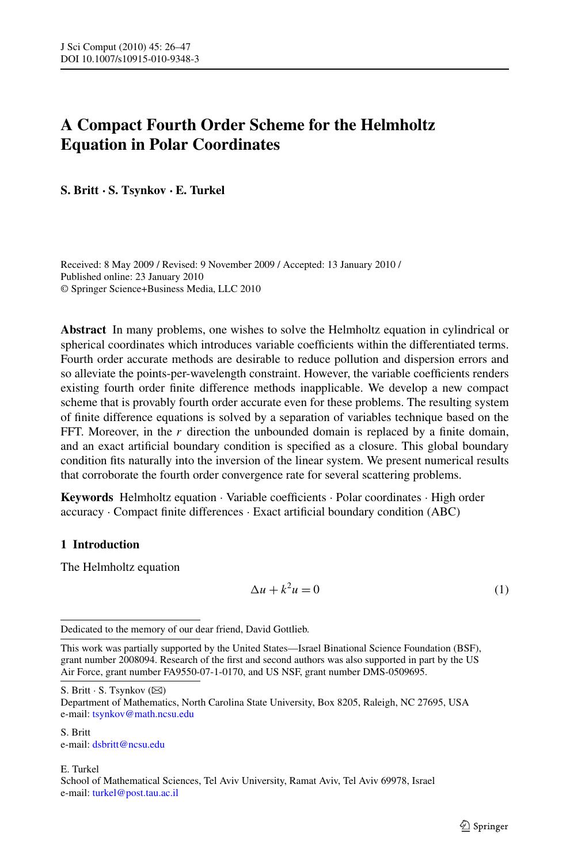# **A Compact Fourth Order Scheme for the Helmholtz Equation in Polar Coordinates**

**S. Britt · S. Tsynkov · E. Turkel**

Received: 8 May 2009 / Revised: 9 November 2009 / Accepted: 13 January 2010 / Published online: 23 January 2010 © Springer Science+Business Media, LLC 2010

**Abstract** In many problems, one wishes to solve the Helmholtz equation in cylindrical or spherical coordinates which introduces variable coefficients within the differentiated terms. Fourth order accurate methods are desirable to reduce pollution and dispersion errors and so alleviate the points-per-wavelength constraint. However, the variable coefficients renders existing fourth order finite difference methods inapplicable. We develop a new compact scheme that is provably fourth order accurate even for these problems. The resulting system of finite difference equations is solved by a separation of variables technique based on the FFT. Moreover, in the *r* direction the unbounded domain is replaced by a finite domain, and an exact artificial boundary condition is specified as a closure. This global boundary condition fits naturally into the inversion of the linear system. We present numerical results that corroborate the fourth order convergence rate for several scattering problems.

<span id="page-0-1"></span>**Keywords** Helmholtz equation · Variable coefficients · Polar coordinates · High order accuracy · Compact finite differences · Exact artificial boundary condition (ABC)

### **1 Introduction**

The Helmholtz equation

<span id="page-0-0"></span>
$$
\Delta u + k^2 u = 0 \tag{1}
$$

Dedicated to the memory of our dear friend, David Gottlieb.

S. Britt  $\cdot$  S. Tsynkov ( $\boxtimes$ )

Department of Mathematics, North Carolina State University, Box 8205, Raleigh, NC 27695, USA e-mail: [tsynkov@math.ncsu.edu](mailto:tsynkov@math.ncsu.edu)

S. Britt e-mail: [dsbritt@ncsu.edu](mailto:dsbritt@ncsu.edu)

E. Turkel School of Mathematical Sciences, Tel Aviv University, Ramat Aviv, Tel Aviv 69978, Israel e-mail: [turkel@post.tau.ac.il](mailto:turkel@post.tau.ac.il)

This work was partially supported by the United States—Israel Binational Science Foundation (BSF), grant number 2008094. Research of the first and second authors was also supported in part by the US Air Force, grant number FA9550-07-1-0170, and US NSF, grant number DMS-0509695.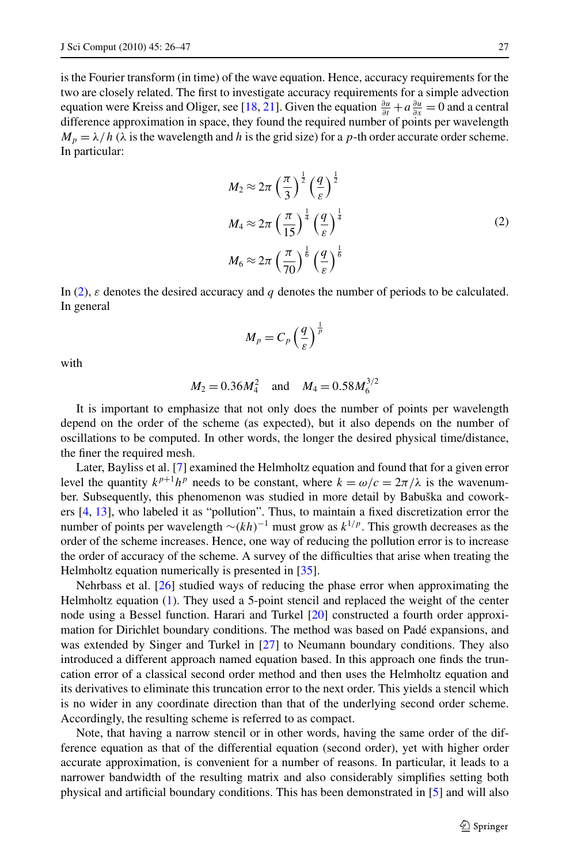is the Fourier transform (in time) of the wave equation. Hence, accuracy requirements for the two are closely related. The first to investigate accuracy requirements for a simple advection equation were Kreiss and Oliger, see [\[18,](#page-20-0) [21](#page-20-1)]. Given the equation  $\frac{\partial u}{\partial t} + a \frac{\partial u}{\partial x} = 0$  and a central difference approximation in space, they found the required number of points per wavelength  $M_p = \lambda/h$  ( $\lambda$  is the wavelength and *h* is the grid size) for a *p*-th order accurate order scheme. In particular:

<span id="page-1-0"></span>
$$
M_2 \approx 2\pi \left(\frac{\pi}{3}\right)^{\frac{1}{2}} \left(\frac{q}{\varepsilon}\right)^{\frac{1}{2}}
$$
  

$$
M_4 \approx 2\pi \left(\frac{\pi}{15}\right)^{\frac{1}{4}} \left(\frac{q}{\varepsilon}\right)^{\frac{1}{4}}
$$
  

$$
M_6 \approx 2\pi \left(\frac{\pi}{70}\right)^{\frac{1}{6}} \left(\frac{q}{\varepsilon}\right)^{\frac{1}{6}}
$$
 (2)

In [\(2\)](#page-1-0),  $\varepsilon$  denotes the desired accuracy and *q* denotes the number of periods to be calculated. In general

$$
M_p = C_p \left(\frac{q}{\varepsilon}\right)^{\frac{1}{p}}
$$

with

$$
M_2 = 0.36M_4^2
$$
 and  $M_4 = 0.58M_6^{3/2}$ 

It is important to emphasize that not only does the number of points per wavelength depend on the order of the scheme (as expected), but it also depends on the number of oscillations to be computed. In other words, the longer the desired physical time/distance, the finer the required mesh.

Later, Bayliss et al. [\[7](#page-20-2)] examined the Helmholtz equation and found that for a given error level the quantity  $k^{p+1}h^p$  needs to be constant, where  $k = \omega/c = 2\pi/\lambda$  is the wavenumber. Subsequently, this phenomenon was studied in more detail by Babuška and coworkers [[4,](#page-20-3) [13\]](#page-20-4), who labeled it as "pollution". Thus, to maintain a fixed discretization error the number of points per wavelength ∼*(kh)*<sup>−</sup><sup>1</sup> must grow as *k*<sup>1</sup>*/p*. This growth decreases as the order of the scheme increases. Hence, one way of reducing the pollution error is to increase the order of accuracy of the scheme. A survey of the difficulties that arise when treating the Helmholtz equation numerically is presented in [[35](#page-21-0)].

Nehrbass et al. [\[26\]](#page-20-5) studied ways of reducing the phase error when approximating the Helmholtz equation [\(1](#page-0-0)). They used a 5-point stencil and replaced the weight of the center node using a Bessel function. Harari and Turkel [[20\]](#page-20-6) constructed a fourth order approximation for Dirichlet boundary conditions. The method was based on Padé expansions, and was extended by Singer and Turkel in [[27](#page-20-7)] to Neumann boundary conditions. They also introduced a different approach named equation based. In this approach one finds the truncation error of a classical second order method and then uses the Helmholtz equation and its derivatives to eliminate this truncation error to the next order. This yields a stencil which is no wider in any coordinate direction than that of the underlying second order scheme. Accordingly, the resulting scheme is referred to as compact.

Note, that having a narrow stencil or in other words, having the same order of the difference equation as that of the differential equation (second order), yet with higher order accurate approximation, is convenient for a number of reasons. In particular, it leads to a narrower bandwidth of the resulting matrix and also considerably simplifies setting both physical and artificial boundary conditions. This has been demonstrated in [[5\]](#page-20-8) and will also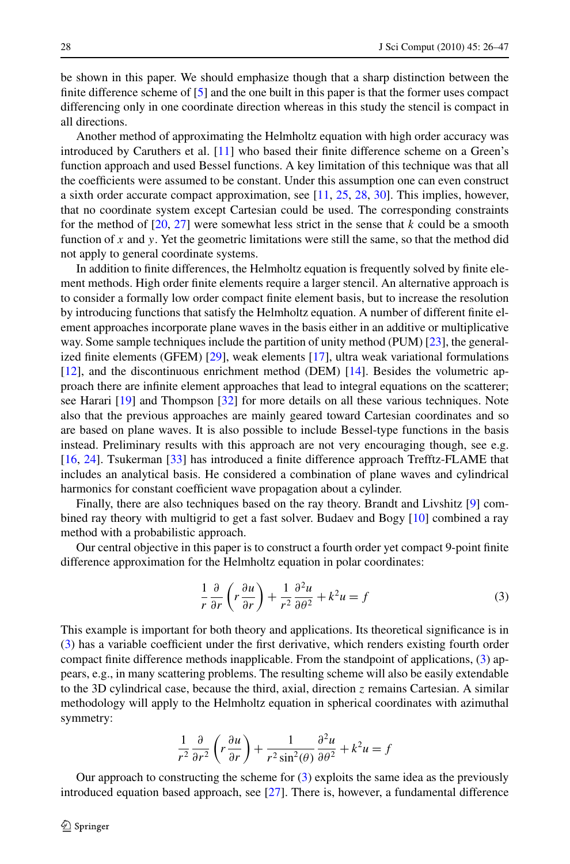be shown in this paper. We should emphasize though that a sharp distinction between the finite difference scheme of [\[5](#page-20-8)] and the one built in this paper is that the former uses compact differencing only in one coordinate direction whereas in this study the stencil is compact in all directions.

Another method of approximating the Helmholtz equation with high order accuracy was introduced by Caruthers et al. [\[11\]](#page-20-9) who based their finite difference scheme on a Green's function approach and used Bessel functions. A key limitation of this technique was that all the coefficients were assumed to be constant. Under this assumption one can even construct a sixth order accurate compact approximation, see [[11](#page-20-9), [25,](#page-20-10) [28](#page-20-11), [30\]](#page-20-12). This implies, however, that no coordinate system except Cartesian could be used. The corresponding constraints for the method of [[20](#page-20-6), [27\]](#page-20-7) were somewhat less strict in the sense that *k* could be a smooth function of *x* and *y*. Yet the geometric limitations were still the same, so that the method did not apply to general coordinate systems.

In addition to finite differences, the Helmholtz equation is frequently solved by finite element methods. High order finite elements require a larger stencil. An alternative approach is to consider a formally low order compact finite element basis, but to increase the resolution by introducing functions that satisfy the Helmholtz equation. A number of different finite element approaches incorporate plane waves in the basis either in an additive or multiplicative way. Some sample techniques include the partition of unity method (PUM) [\[23\]](#page-20-13), the generalized finite elements (GFEM) [[29](#page-20-14)], weak elements [\[17\]](#page-20-15), ultra weak variational formulations [[12](#page-20-16)], and the discontinuous enrichment method (DEM) [\[14\]](#page-20-17). Besides the volumetric approach there are infinite element approaches that lead to integral equations on the scatterer; see Harari [\[19\]](#page-20-18) and Thompson [[32](#page-20-19)] for more details on all these various techniques. Note also that the previous approaches are mainly geared toward Cartesian coordinates and so are based on plane waves. It is also possible to include Bessel-type functions in the basis instead. Preliminary results with this approach are not very encouraging though, see e.g. [[16](#page-20-20), [24](#page-20-21)]. Tsukerman [\[33\]](#page-21-1) has introduced a finite difference approach Trefftz-FLAME that includes an analytical basis. He considered a combination of plane waves and cylindrical harmonics for constant coefficient wave propagation about a cylinder.

Finally, there are also techniques based on the ray theory. Brandt and Livshitz [[9](#page-20-22)] combined ray theory with multigrid to get a fast solver. Budaev and Bogy [\[10\]](#page-20-23) combined a ray method with a probabilistic approach.

Our central objective in this paper is to construct a fourth order yet compact 9-point finite difference approximation for the Helmholtz equation in polar coordinates:

<span id="page-2-0"></span>
$$
\frac{1}{r}\frac{\partial}{\partial r}\left(r\frac{\partial u}{\partial r}\right) + \frac{1}{r^2}\frac{\partial^2 u}{\partial \theta^2} + k^2 u = f \tag{3}
$$

This example is important for both theory and applications. Its theoretical significance is in ([3\)](#page-2-0) has a variable coefficient under the first derivative, which renders existing fourth order compact finite difference methods inapplicable. From the standpoint of applications, [\(3](#page-2-0)) appears, e.g., in many scattering problems. The resulting scheme will also be easily extendable to the 3D cylindrical case, because the third, axial, direction *z* remains Cartesian. A similar methodology will apply to the Helmholtz equation in spherical coordinates with azimuthal symmetry:

$$
\frac{1}{r^2} \frac{\partial}{\partial r^2} \left( r \frac{\partial u}{\partial r} \right) + \frac{1}{r^2 \sin^2(\theta)} \frac{\partial^2 u}{\partial \theta^2} + k^2 u = f
$$

Our approach to constructing the scheme for  $(3)$  $(3)$  $(3)$  exploits the same idea as the previously introduced equation based approach, see [\[27\]](#page-20-7). There is, however, a fundamental difference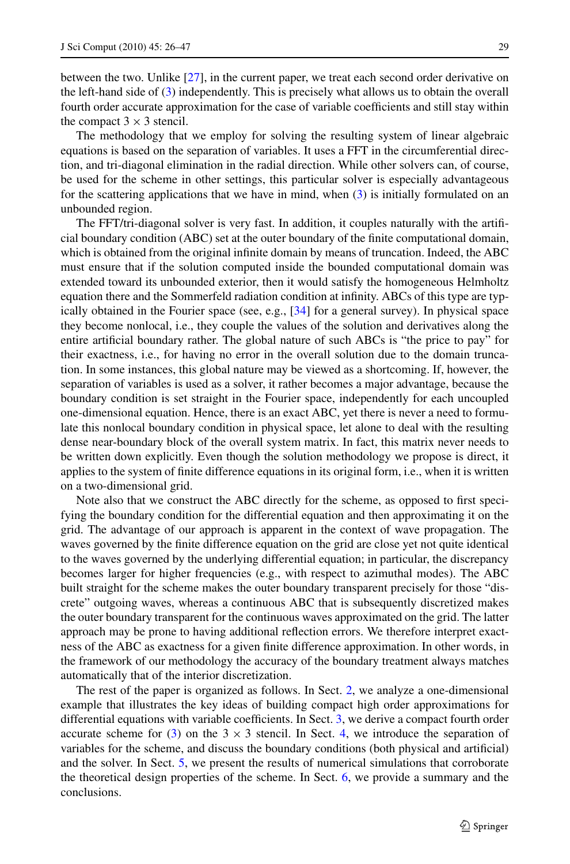between the two. Unlike [[27](#page-20-7)], in the current paper, we treat each second order derivative on the left-hand side of ([3](#page-2-0)) independently. This is precisely what allows us to obtain the overall fourth order accurate approximation for the case of variable coefficients and still stay within the compact  $3 \times 3$  stencil.

The methodology that we employ for solving the resulting system of linear algebraic equations is based on the separation of variables. It uses a FFT in the circumferential direction, and tri-diagonal elimination in the radial direction. While other solvers can, of course, be used for the scheme in other settings, this particular solver is especially advantageous for the scattering applications that we have in mind, when [\(3\)](#page-2-0) is initially formulated on an unbounded region.

The FFT/tri-diagonal solver is very fast. In addition, it couples naturally with the artificial boundary condition (ABC) set at the outer boundary of the finite computational domain, which is obtained from the original infinite domain by means of truncation. Indeed, the ABC must ensure that if the solution computed inside the bounded computational domain was extended toward its unbounded exterior, then it would satisfy the homogeneous Helmholtz equation there and the Sommerfeld radiation condition at infinity. ABCs of this type are typically obtained in the Fourier space (see, e.g., [[34](#page-21-2)] for a general survey). In physical space they become nonlocal, i.e., they couple the values of the solution and derivatives along the entire artificial boundary rather. The global nature of such ABCs is "the price to pay" for their exactness, i.e., for having no error in the overall solution due to the domain truncation. In some instances, this global nature may be viewed as a shortcoming. If, however, the separation of variables is used as a solver, it rather becomes a major advantage, because the boundary condition is set straight in the Fourier space, independently for each uncoupled one-dimensional equation. Hence, there is an exact ABC, yet there is never a need to formulate this nonlocal boundary condition in physical space, let alone to deal with the resulting dense near-boundary block of the overall system matrix. In fact, this matrix never needs to be written down explicitly. Even though the solution methodology we propose is direct, it applies to the system of finite difference equations in its original form, i.e., when it is written on a two-dimensional grid.

Note also that we construct the ABC directly for the scheme, as opposed to first specifying the boundary condition for the differential equation and then approximating it on the grid. The advantage of our approach is apparent in the context of wave propagation. The waves governed by the finite difference equation on the grid are close yet not quite identical to the waves governed by the underlying differential equation; in particular, the discrepancy becomes larger for higher frequencies (e.g., with respect to azimuthal modes). The ABC built straight for the scheme makes the outer boundary transparent precisely for those "discrete" outgoing waves, whereas a continuous ABC that is subsequently discretized makes the outer boundary transparent for the continuous waves approximated on the grid. The latter approach may be prone to having additional reflection errors. We therefore interpret exactness of the ABC as exactness for a given finite difference approximation. In other words, in the framework of our methodology the accuracy of the boundary treatment always matches automatically that of the interior discretization.

The rest of the paper is organized as follows. In Sect. [2,](#page-4-0) we analyze a one-dimensional example that illustrates the key ideas of building compact high order approximations for differential equations with variable coefficients. In Sect. [3,](#page-5-0) we derive a compact fourth order accurate scheme for ([3\)](#page-2-0) on the  $3 \times 3$  stencil. In Sect. [4,](#page-8-0) we introduce the separation of variables for the scheme, and discuss the boundary conditions (both physical and artificial) and the solver. In Sect. [5,](#page-14-0) we present the results of numerical simulations that corroborate the theoretical design properties of the scheme. In Sect. [6](#page-19-0), we provide a summary and the conclusions.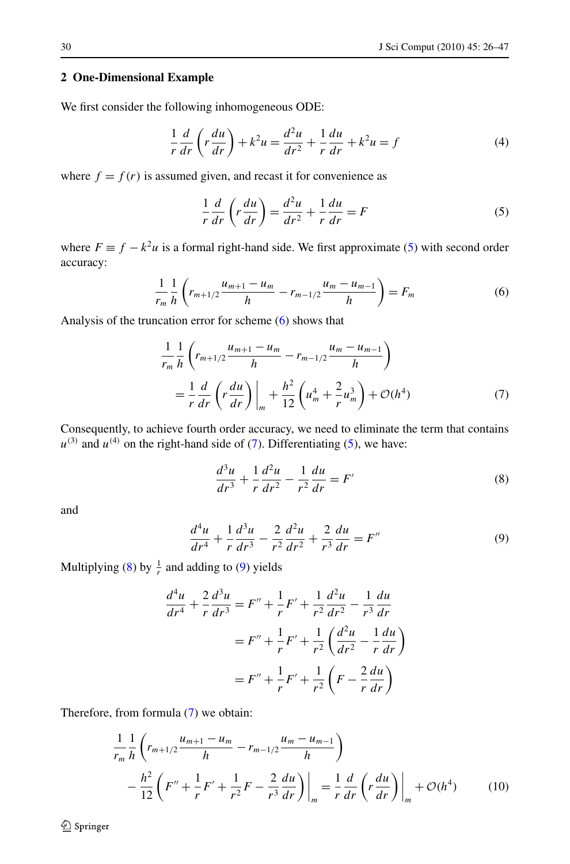### <span id="page-4-0"></span>**2 One-Dimensional Example**

We first consider the following inhomogeneous ODE:

<span id="page-4-7"></span>
$$
\frac{1}{r}\frac{d}{dr}\left(r\frac{du}{dr}\right) + k^2 u = \frac{d^2u}{dr^2} + \frac{1}{r}\frac{du}{dr} + k^2 u = f
$$
\n(4)

where  $f = f(r)$  is assumed given, and recast it for convenience as

<span id="page-4-3"></span><span id="page-4-2"></span><span id="page-4-1"></span>
$$
\frac{1}{r}\frac{d}{dr}\left(r\frac{du}{dr}\right) = \frac{d^2u}{dr^2} + \frac{1}{r}\frac{du}{dr} = F\tag{5}
$$

where  $F \equiv f - k^2 u$  is a formal right-hand side. We first approximate [\(5](#page-4-1)) with second order accuracy:

$$
\frac{1}{r_m} \frac{1}{h} \left( r_{m+1/2} \frac{u_{m+1} - u_m}{h} - r_{m-1/2} \frac{u_m - u_{m-1}}{h} \right) = F_m \tag{6}
$$

Analysis of the truncation error for scheme [\(6](#page-4-2)) shows that

$$
\frac{1}{r_m} \frac{1}{h} \left( r_{m+1/2} \frac{u_{m+1} - u_m}{h} - r_{m-1/2} \frac{u_m - u_{m-1}}{h} \right)
$$
\n
$$
= \frac{1}{r} \frac{d}{dr} \left( r \frac{du}{dr} \right) \bigg|_m + \frac{h^2}{12} \left( u_m^4 + \frac{2}{r} u_m^3 \right) + \mathcal{O}(h^4) \tag{7}
$$

Consequently, to achieve fourth order accuracy, we need to eliminate the term that contains  $u^{(3)}$  and  $u^{(4)}$  on the right-hand side of [\(7\)](#page-4-3). Differentiating [\(5\)](#page-4-1), we have:

<span id="page-4-5"></span><span id="page-4-4"></span>
$$
\frac{d^3u}{dr^3} + \frac{1}{r}\frac{d^2u}{dr^2} - \frac{1}{r^2}\frac{du}{dr} = F'
$$
 (8)

and

$$
\frac{d^4u}{dr^4} + \frac{1}{r}\frac{d^3u}{dr^3} - \frac{2}{r^2}\frac{d^2u}{dr^2} + \frac{2}{r^3}\frac{du}{dr} = F''
$$
 (9)

Multiplying ([8](#page-4-4)) by  $\frac{1}{r}$  and adding to ([9\)](#page-4-5) yields

<span id="page-4-6"></span>
$$
\frac{d^4u}{dr^4} + \frac{2}{r}\frac{d^3u}{dr^3} = F'' + \frac{1}{r}F' + \frac{1}{r^2}\frac{d^2u}{dr^2} - \frac{1}{r^3}\frac{du}{dr}
$$

$$
= F'' + \frac{1}{r}F' + \frac{1}{r^2}\left(\frac{d^2u}{dr^2} - \frac{1}{r}\frac{du}{dr}\right)
$$

$$
= F'' + \frac{1}{r}F' + \frac{1}{r^2}\left(F - \frac{2}{r}\frac{du}{dr}\right)
$$

Therefore, from formula [\(7\)](#page-4-3) we obtain:

$$
\frac{1}{r_m} \frac{1}{h} \left( r_{m+1/2} \frac{u_{m+1} - u_m}{h} - r_{m-1/2} \frac{u_m - u_{m-1}}{h} \right)
$$
  
 
$$
- \frac{h^2}{12} \left( F'' + \frac{1}{r} F' + \frac{1}{r^2} F - \frac{2}{r^3} \frac{du}{dr} \right) \Big|_m = \frac{1}{r} \frac{d}{dr} \left( r \frac{du}{dr} \right) \Big|_m + \mathcal{O}(h^4) \tag{10}
$$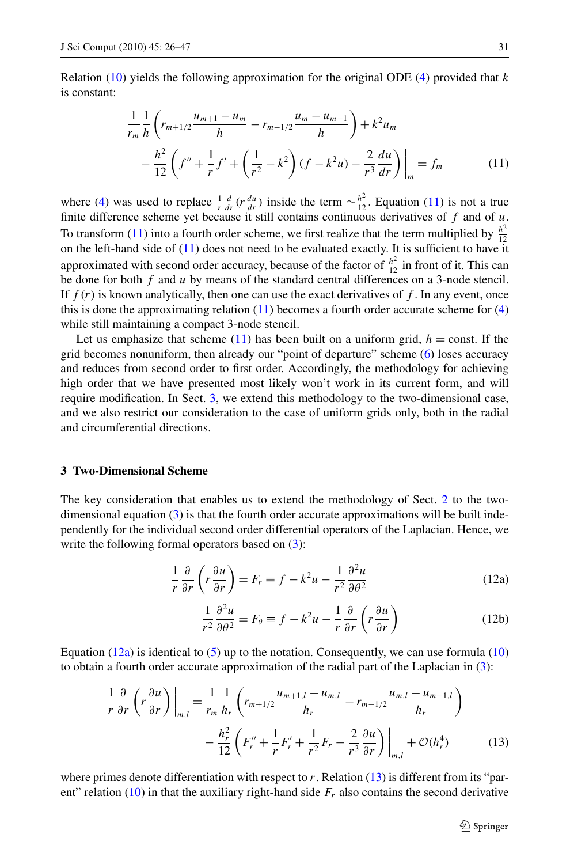Relation ([10](#page-4-6)) yields the following approximation for the original ODE ([4](#page-4-7)) provided that *k* is constant:

<span id="page-5-1"></span>
$$
\frac{1}{r_m} \frac{1}{h} \left( r_{m+1/2} \frac{u_{m+1} - u_m}{h} - r_{m-1/2} \frac{u_m - u_{m-1}}{h} \right) + k^2 u_m
$$

$$
- \frac{h^2}{12} \left( f'' + \frac{1}{r} f' + \left( \frac{1}{r^2} - k^2 \right) (f - k^2 u) - \frac{2}{r^3} \frac{du}{dr} \right) \Big|_m = f_m \tag{11}
$$

where [\(4\)](#page-4-7) was used to replace  $\frac{1}{r}\frac{d}{dr}(r\frac{du}{dr})$  inside the term  $\sim \frac{h^2}{12}$ . Equation ([11](#page-5-1)) is not a true finite difference scheme yet because it still contains continuous derivatives of *f* and of *u*. To transform [\(11\)](#page-5-1) into a fourth order scheme, we first realize that the term multiplied by  $\frac{h^2}{12}$ on the left-hand side of [\(11\)](#page-5-1) does not need to be evaluated exactly. It is sufficient to have it approximated with second order accuracy, because of the factor of  $\frac{h^2}{12}$  in front of it. This can be done for both *f* and *u* by means of the standard central differences on a 3-node stencil. If *f (r)* is known analytically, then one can use the exact derivatives of *f* . In any event, once this is done the approximating relation  $(11)$  becomes a fourth order accurate scheme for  $(4)$  $(4)$  $(4)$ while still maintaining a compact 3-node stencil.

<span id="page-5-0"></span>Let us emphasize that scheme  $(11)$  has been built on a uniform grid,  $h = \text{const.}$  If the grid becomes nonuniform, then already our "point of departure" scheme [\(6\)](#page-4-2) loses accuracy and reduces from second order to first order. Accordingly, the methodology for achieving high order that we have presented most likely won't work in its current form, and will require modification. In Sect. [3,](#page-5-0) we extend this methodology to the two-dimensional case, and we also restrict our consideration to the case of uniform grids only, both in the radial and circumferential directions.

### **3 Two-Dimensional Scheme**

The key consideration that enables us to extend the methodology of Sect. [2](#page-4-0) to the twodimensional equation  $(3)$  $(3)$  is that the fourth order accurate approximations will be built independently for the individual second order differential operators of the Laplacian. Hence, we write the following formal operators based on  $(3)$  $(3)$  $(3)$ :

$$
\frac{1}{r}\frac{\partial}{\partial r}\left(r\frac{\partial u}{\partial r}\right) = F_r \equiv f - k^2 u - \frac{1}{r^2}\frac{\partial^2 u}{\partial \theta^2}
$$
(12a)

<span id="page-5-4"></span><span id="page-5-3"></span><span id="page-5-2"></span>
$$
\frac{1}{r^2} \frac{\partial^2 u}{\partial \theta^2} = F_\theta \equiv f - k^2 u - \frac{1}{r} \frac{\partial}{\partial r} \left( r \frac{\partial u}{\partial r} \right) \tag{12b}
$$

Equation ([12a](#page-5-2)) is identical to [\(5](#page-4-1)) up to the notation. Consequently, we can use formula ([10](#page-4-6)) to obtain a fourth order accurate approximation of the radial part of the Laplacian in [\(3](#page-2-0)):

$$
\frac{1}{r} \frac{\partial}{\partial r} \left( r \frac{\partial u}{\partial r} \right) \Big|_{m,l} = \frac{1}{r_m} \frac{1}{h_r} \left( r_{m+1/2} \frac{u_{m+1,l} - u_{m,l}}{h_r} - r_{m-1/2} \frac{u_{m,l} - u_{m-1,l}}{h_r} \right)
$$

$$
- \frac{h_r^2}{12} \left( F_r'' + \frac{1}{r} F_r' + \frac{1}{r^2} F_r - \frac{2}{r^3} \frac{\partial u}{\partial r} \right) \Big|_{m,l} + \mathcal{O}(h_r^4) \tag{13}
$$

where primes denote differentiation with respect to  $r$ . Relation [\(13\)](#page-5-3) is different from its "parent" relation  $(10)$  in that the auxiliary right-hand side  $F_r$  also contains the second derivative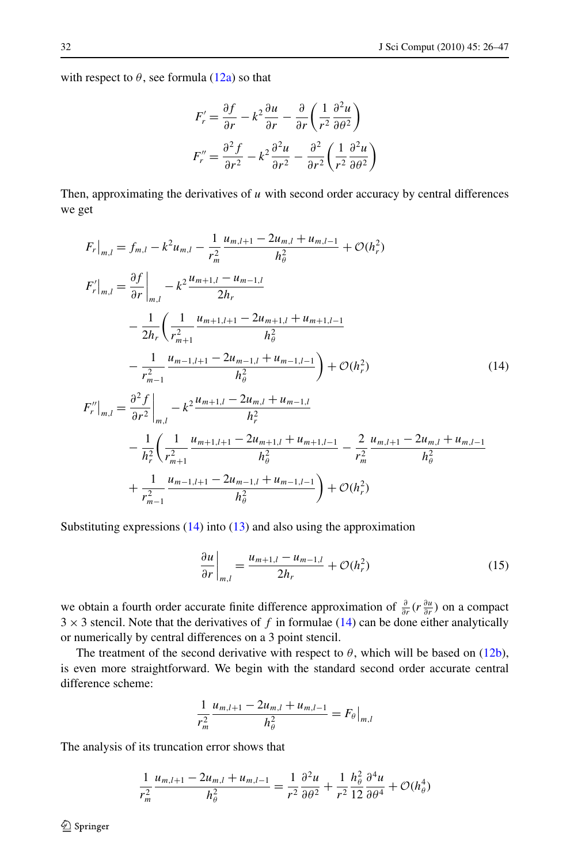with respect to  $\theta$ , see formula ([12a\)](#page-5-2) so that

<span id="page-6-0"></span>
$$
F'_{r} = \frac{\partial f}{\partial r} - k^{2} \frac{\partial u}{\partial r} - \frac{\partial}{\partial r} \left( \frac{1}{r^{2}} \frac{\partial^{2} u}{\partial \theta^{2}} \right)
$$

$$
F''_{r} = \frac{\partial^{2} f}{\partial r^{2}} - k^{2} \frac{\partial^{2} u}{\partial r^{2}} - \frac{\partial^{2}}{\partial r^{2}} \left( \frac{1}{r^{2}} \frac{\partial^{2} u}{\partial \theta^{2}} \right)
$$

Then, approximating the derivatives of *u* with second order accuracy by central differences we get

$$
F_r|_{m,l} = f_{m,l} - k^2 u_{m,l} - \frac{1}{r_m^2} \frac{u_{m,l+1} - 2u_{m,l} + u_{m,l-1}}{h_\theta^2} + \mathcal{O}(h_r^2)
$$
  
\n
$$
F'_r|_{m,l} = \frac{\partial f}{\partial r}\Big|_{m,l} - k^2 \frac{u_{m+1,l} - u_{m-1,l}}{2h_r}
$$
  
\n
$$
- \frac{1}{2h_r} \left( \frac{1}{r_{m+1}^2} \frac{u_{m+1,l+1} - 2u_{m+1,l} + u_{m+1,l-1}}{h_\theta^2} - \frac{1}{r_{m-1}^2} \frac{u_{m-1,l+1} - 2u_{m-1,l} + u_{m-1,l-1}}{h_\theta^2} \right) + \mathcal{O}(h_r^2)
$$
  
\n
$$
F''_r|_{m,l} = \frac{\partial^2 f}{\partial r^2}\Big|_{m,l} - k^2 \frac{u_{m+1,l} - 2u_{m,l} + u_{m-1,l}}{h_r^2}
$$
  
\n
$$
- \frac{1}{h_r^2} \left( \frac{1}{r_{m+1}^2} \frac{u_{m+1,l+1} - 2u_{m+1,l} + u_{m+1,l-1}}{h_\theta^2} - \frac{2}{r_m^2} \frac{u_{m,l+1} - 2u_{m,l} + u_{m,l-1}}{h_\theta^2} + \frac{1}{r_{m-1}^2} \frac{u_{m-1,l+1} - 2u_{m-1,l} + u_{m-1,l-1}}{h_\theta^2} + \mathcal{O}(h_r^2)
$$
 (14)

Substituting expressions  $(14)$  into  $(13)$  $(13)$  $(13)$  and also using the approximation

<span id="page-6-1"></span>
$$
\left. \frac{\partial u}{\partial r} \right|_{m,l} = \frac{u_{m+1,l} - u_{m-1,l}}{2h_r} + \mathcal{O}(h_r^2)
$$
\n(15)

we obtain a fourth order accurate finite difference approximation of *<sup>∂</sup> ∂r (r ∂u ∂r )* on a compact  $3 \times 3$  stencil. Note that the derivatives of f in formulae [\(14\)](#page-6-0) can be done either analytically or numerically by central differences on a 3 point stencil.

The treatment of the second derivative with respect to  $\theta$ , which will be based on ([12b](#page-5-4)), is even more straightforward. We begin with the standard second order accurate central difference scheme:

$$
\frac{1}{r_m^2} \frac{u_{m,l+1} - 2u_{m,l} + u_{m,l-1}}{h_\theta^2} = F_\theta \big|_{m,l}
$$

The analysis of its truncation error shows that

$$
\frac{1}{r_m^2} \frac{u_{m,l+1} - 2u_{m,l} + u_{m,l-1}}{h_\theta^2} = \frac{1}{r^2} \frac{\partial^2 u}{\partial \theta^2} + \frac{1}{r^2} \frac{h_\theta^2}{12} \frac{\partial^4 u}{\partial \theta^4} + \mathcal{O}(h_\theta^4)
$$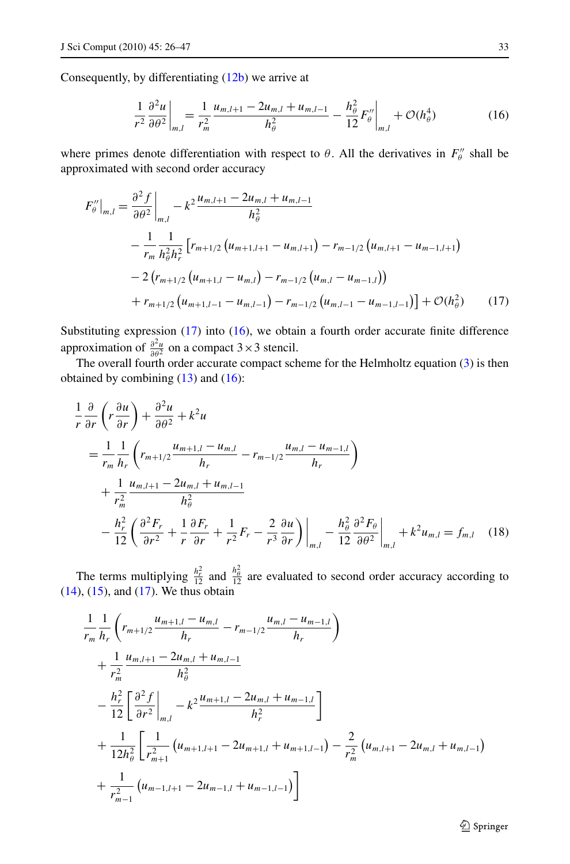Consequently, by differentiating [\(12b](#page-5-4)) we arrive at

$$
\frac{1}{r^2} \frac{\partial^2 u}{\partial \theta^2} \bigg|_{m,l} = \frac{1}{r_m^2} \frac{u_{m,l+1} - 2u_{m,l} + u_{m,l-1}}{h_\theta^2} - \frac{h_\theta^2}{12} F_\theta'' \bigg|_{m,l} + \mathcal{O}(h_\theta^4)
$$
(16)

where primes denote differentiation with respect to  $\theta$ . All the derivatives in  $F_{\theta}^{\prime\prime}$  shall be approximated with second order accuracy

$$
F_{\theta}''\big|_{m,l} = \frac{\partial^2 f}{\partial \theta^2}\bigg|_{m,l} - k^2 \frac{u_{m,l+1} - 2u_{m,l} + u_{m,l-1}}{h_{\theta}^2}
$$
  

$$
- \frac{1}{r_m} \frac{1}{h_{\theta}^2 h_r^2} \left[r_{m+1/2} \left(u_{m+1,l+1} - u_{m,l+1}\right) - r_{m-1/2} \left(u_{m,l+1} - u_{m-1,l+1}\right)\right]
$$
  

$$
- 2 \left(r_{m+1/2} \left(u_{m+1,l} - u_{m,l}\right) - r_{m-1/2} \left(u_{m,l} - u_{m-1,l}\right)\right)
$$
  

$$
+ r_{m+1/2} \left(u_{m+1,l-1} - u_{m,l-1}\right) - r_{m-1/2} \left(u_{m,l-1} - u_{m-1,l-1}\right) + \mathcal{O}(h_{\theta}^2) \qquad (17)
$$

Substituting expression  $(17)$  $(17)$  $(17)$  into  $(16)$  $(16)$  $(16)$ , we obtain a fourth order accurate finite difference approximation of  $\frac{\partial^2 u}{\partial \theta^2}$  on a compact 3 × 3 stencil.

The overall fourth order accurate compact scheme for the Helmholtz equation ([3](#page-2-0)) is then obtained by combining  $(13)$  $(13)$  $(13)$  and  $(16)$  $(16)$  $(16)$ :

<span id="page-7-2"></span>
$$
\frac{1}{r} \frac{\partial}{\partial r} \left( r \frac{\partial u}{\partial r} \right) + \frac{\partial^2 u}{\partial \theta^2} + k^2 u
$$
\n
$$
= \frac{1}{r_m} \frac{1}{h_r} \left( r_{m+1/2} \frac{u_{m+1,l} - u_{m,l}}{h_r} - r_{m-1/2} \frac{u_{m,l} - u_{m-1,l}}{h_r} \right)
$$
\n
$$
+ \frac{1}{r_m^2} \frac{u_{m,l+1} - 2u_{m,l} + u_{m,l-1}}{h_\theta^2}
$$
\n
$$
- \frac{h_r^2}{12} \left( \frac{\partial^2 F_r}{\partial r^2} + \frac{1}{r} \frac{\partial F_r}{\partial r} + \frac{1}{r^2} F_r - \frac{2}{r^3} \frac{\partial u}{\partial r} \right) \Big|_{m,l} - \frac{h_\theta^2}{12} \frac{\partial^2 F_\theta}{\partial \theta^2} \Big|_{m,l} + k^2 u_{m,l} = f_{m,l} \quad (18)
$$

The terms multiplying  $\frac{h_r^2}{12}$  and  $\frac{h_\theta^2}{12}$  are evaluated to second order accuracy according to ([14](#page-6-0)), [\(15\)](#page-6-1), and [\(17](#page-7-0)). We thus obtain

$$
\frac{1}{r_m} \frac{1}{h_r} \left( r_{m+1/2} \frac{u_{m+1,l} - u_{m,l}}{h_r} - r_{m-1/2} \frac{u_{m,l} - u_{m-1,l}}{h_r} \right)
$$
\n
$$
+ \frac{1}{r_m^2} \frac{u_{m,l+1} - 2u_{m,l} + u_{m,l-1}}{h_\theta^2}
$$
\n
$$
- \frac{h_r^2}{12} \left[ \frac{\partial^2 f}{\partial r^2} \Big|_{m,l} - k^2 \frac{u_{m+1,l} - 2u_{m,l} + u_{m-1,l}}{h_r^2} \right]
$$
\n
$$
+ \frac{1}{12h_\theta^2} \left[ \frac{1}{r_{m+1}^2} \left( u_{m+1,l+1} - 2u_{m+1,l} + u_{m+1,l-1} \right) - \frac{2}{r_m^2} \left( u_{m,l+1} - 2u_{m,l} + u_{m,l-1} \right) \right]
$$
\n
$$
+ \frac{1}{r_{m-1}^2} \left( u_{m-1,l+1} - 2u_{m-1,l} + u_{m-1,l-1} \right)
$$

<span id="page-7-1"></span><span id="page-7-0"></span>

2 Springer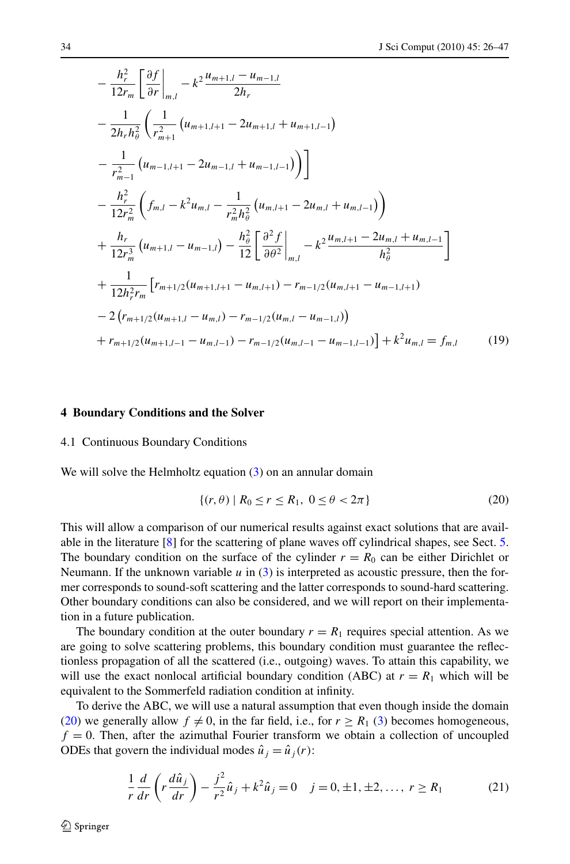<span id="page-8-3"></span>
$$
-\frac{h_r^2}{12r_m} \left[ \frac{\partial f}{\partial r} \Big|_{m,l} - k^2 \frac{u_{m+1,l} - u_{m-1,l}}{2h_r} - \frac{1}{2h_r h_{\theta}^2} \left( \frac{1}{r_{m+1}^2} \left( u_{m+1,l+1} - 2u_{m+1,l} + u_{m+1,l-1} \right) \right) - \frac{1}{r_{m-1}^2} \left( u_{m-1,l+1} - 2u_{m-1,l} + u_{m-1,l-1} \right) \right) \Bigg] - \frac{h_r^2}{12r_m^2} \left( f_{m,l} - k^2 u_{m,l} - \frac{1}{r_m^2 h_{\theta}^2} \left( u_{m,l+1} - 2u_{m,l} + u_{m,l-1} \right) \right) + \frac{h_r}{12r_m^3} \left( u_{m+1,l} - u_{m-1,l} \right) - \frac{h_{\theta}^2}{12} \left[ \frac{\partial^2 f}{\partial \theta^2} \Big|_{m,l} - k^2 \frac{u_{m,l+1} - 2u_{m,l} + u_{m,l-1}}{h_{\theta}^2} \right] + \frac{1}{12h_r^2 r_m} \left[ r_{m+1/2} (u_{m+1,l+1} - u_{m,l+1}) - r_{m-1/2} (u_{m,l+1} - u_{m-1,l+1}) - 2 \left( r_{m+1/2} (u_{m+1,l} - u_{m,l}) - r_{m-1/2} (u_{m,l} - u_{m-1,l}) \right) \right) + r_{m+1/2} (u_{m+1,l-1} - u_{m,l-1}) - r_{m-1/2} (u_{m,l-1} - u_{m-1,l-1}) \Bigg] + k^2 u_{m,l} = f_{m,l} \tag{19}
$$

### <span id="page-8-4"></span><span id="page-8-0"></span>**4 Boundary Conditions and the Solver**

#### 4.1 Continuous Boundary Conditions

We will solve the Helmholtz equation  $(3)$  on an annular domain

<span id="page-8-2"></span><span id="page-8-1"></span>
$$
\{(r,\theta) \mid R_0 \le r \le R_1, \ 0 \le \theta < 2\pi\} \tag{20}
$$

This will allow a comparison of our numerical results against exact solutions that are available in the literature [\[8](#page-20-24)] for the scattering of plane waves off cylindrical shapes, see Sect. [5](#page-14-0). The boundary condition on the surface of the cylinder  $r = R_0$  can be either Dirichlet or Neumann. If the unknown variable *u* in ([3](#page-2-0)) is interpreted as acoustic pressure, then the former corresponds to sound-soft scattering and the latter corresponds to sound-hard scattering. Other boundary conditions can also be considered, and we will report on their implementation in a future publication.

The boundary condition at the outer boundary  $r = R_1$  requires special attention. As we are going to solve scattering problems, this boundary condition must guarantee the reflectionless propagation of all the scattered (i.e., outgoing) waves. To attain this capability, we will use the exact nonlocal artificial boundary condition (ABC) at  $r = R_1$  which will be equivalent to the Sommerfeld radiation condition at infinity.

To derive the ABC, we will use a natural assumption that even though inside the domain ([20](#page-8-1)) we generally allow  $f \neq 0$ , in the far field, i.e., for  $r \geq R_1$  [\(3\)](#page-2-0) becomes homogeneous,  $f = 0$ . Then, after the azimuthal Fourier transform we obtain a collection of uncoupled ODEs that govern the individual modes  $\hat{u}_j = \hat{u}_j(r)$ :

$$
\frac{1}{r}\frac{d}{dr}\left(r\frac{d\hat{u}_j}{dr}\right) - \frac{j^2}{r^2}\hat{u}_j + k^2\hat{u}_j = 0 \quad j = 0, \pm 1, \pm 2, \dots, r \ge R_1
$$
\n(21)

 $\mathcal{D}$  Springer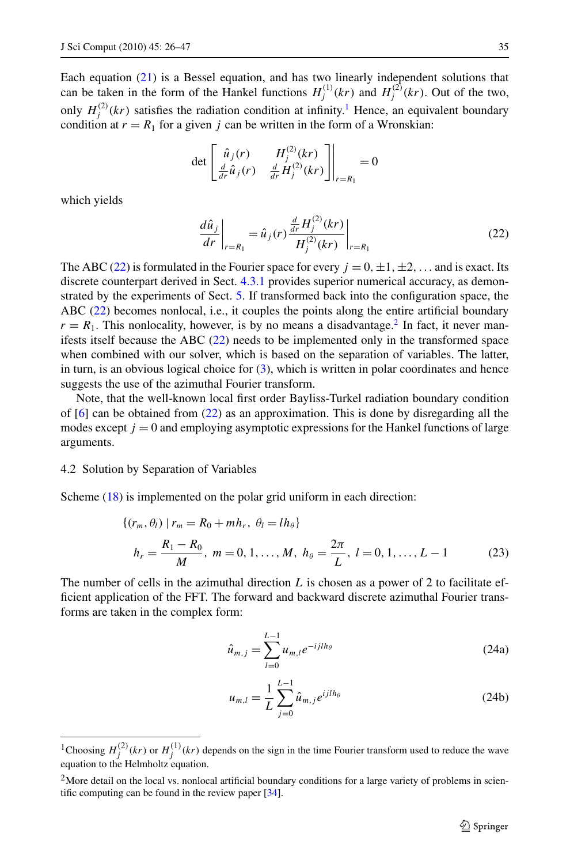Each equation [\(21\)](#page-8-2) is a Bessel equation, and has two linearly independent solutions that can be taken in the form of the Hankel functions  $H_j^{(1)}(kr)$  and  $H_j^{(2)}(kr)$ . Out of the two, only  $H_j^{(2)}(kr)$  satisfies the radiation condition at infinity.<sup>1</sup> Hence, an equivalent boundary condition at  $r = R_1$  for a given *j* can be written in the form of a Wronskian:

<span id="page-9-1"></span>
$$
\det \begin{bmatrix} \hat{u}_j(r) & H_j^{(2)}(kr) \\ \frac{d}{dr}\hat{u}_j(r) & \frac{d}{dr}H_j^{(2)}(kr) \end{bmatrix}\bigg|_{r=R_1} = 0
$$

which yields

$$
\left. \frac{d\hat{u}_j}{dr} \right|_{r=R_1} = \hat{u}_j(r) \frac{\frac{d}{dr} H_j^{(2)}(kr)}{H_j^{(2)}(kr)} \right|_{r=R_1}
$$
\n(22)

The ABC ([22](#page-9-1)) is formulated in the Fourier space for every  $j = 0, \pm 1, \pm 2, \ldots$  and is exact. Its discrete counterpart derived in Sect. [4.3.1](#page-10-0) provides superior numerical accuracy, as demonstrated by the experiments of Sect. [5.](#page-14-0) If transformed back into the configuration space, the ABC [\(22\)](#page-9-1) becomes nonlocal, i.e., it couples the points along the entire artificial boundary  $r = R_1$ . This nonlocality, however, is by no means a disadvantage.<sup>[2](#page-9-2)</sup> In fact, it never manifests itself because the ABC [\(22\)](#page-9-1) needs to be implemented only in the transformed space when combined with our solver, which is based on the separation of variables. The latter, in turn, is an obvious logical choice for  $(3)$  $(3)$  $(3)$ , which is written in polar coordinates and hence suggests the use of the azimuthal Fourier transform.

Note, that the well-known local first order Bayliss-Turkel radiation boundary condition of  $[6]$  $[6]$  $[6]$  can be obtained from  $(22)$  $(22)$  $(22)$  as an approximation. This is done by disregarding all the modes except  $j = 0$  and employing asymptotic expressions for the Hankel functions of large arguments.

### 4.2 Solution by Separation of Variables

Scheme  $(18)$  is implemented on the polar grid uniform in each direction:

$$
\{(r_m, \theta_l) \mid r_m = R_0 + mh_r, \ \theta_l = lh_\theta\}
$$
  

$$
h_r = \frac{R_1 - R_0}{M}, \ m = 0, 1, ..., M, \ h_\theta = \frac{2\pi}{L}, \ l = 0, 1, ..., L - 1
$$
 (23)

<span id="page-9-2"></span><span id="page-9-0"></span>The number of cells in the azimuthal direction  $L$  is chosen as a power of 2 to facilitate efficient application of the FFT. The forward and backward discrete azimuthal Fourier transforms are taken in the complex form:

<span id="page-9-5"></span><span id="page-9-4"></span><span id="page-9-3"></span>
$$
\hat{u}_{m,j} = \sum_{l=0}^{L-1} u_{m,l} e^{-ijlh_\theta}
$$
\n(24a)

$$
u_{m,l} = \frac{1}{L} \sum_{j=0}^{L-1} \hat{u}_{m,j} e^{ijlh_{\theta}}
$$
 (24b)

<sup>&</sup>lt;sup>1</sup>Choosing  $H_j^{(2)}(kr)$  or  $H_j^{(1)}(kr)$  depends on the sign in the time Fourier transform used to reduce the wave equation to the Helmholtz equation.

<sup>&</sup>lt;sup>2</sup>More detail on the local vs. nonlocal artificial boundary conditions for a large variety of problems in scientific computing can be found in the review paper [\[34\]](#page-21-2).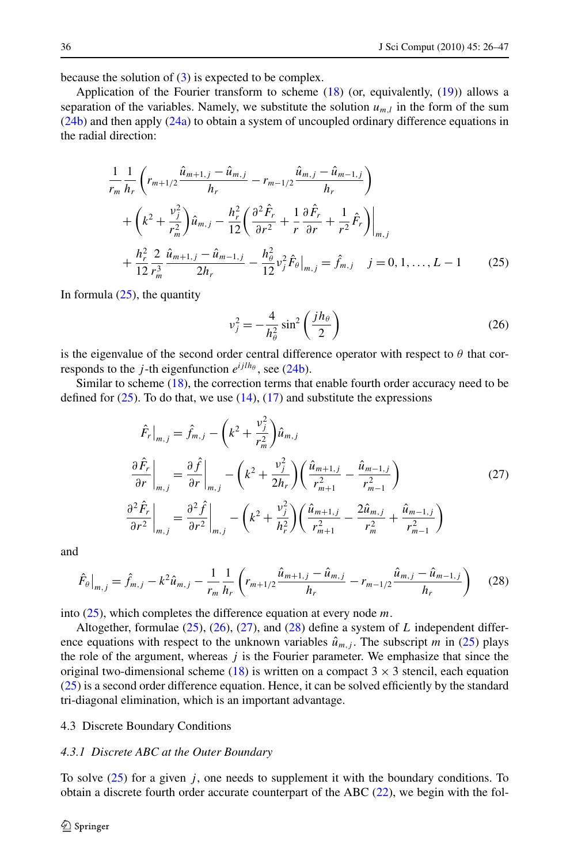because the solution of  $(3)$  $(3)$  is expected to be complex.

Application of the Fourier transform to scheme ([18\)](#page-7-2) (or, equivalently, ([19](#page-8-3))) allows a separation of the variables. Namely, we substitute the solution  $u_{m,l}$  in the form of the sum ([24b](#page-9-3)) and then apply [\(24a](#page-9-4)) to obtain a system of uncoupled ordinary difference equations in the radial direction:

$$
\frac{1}{r_m} \frac{1}{h_r} \left( r_{m+1/2} \frac{\hat{u}_{m+1,j} - \hat{u}_{m,j}}{h_r} - r_{m-1/2} \frac{\hat{u}_{m,j} - \hat{u}_{m-1,j}}{h_r} \right) \n+ \left( k^2 + \frac{v_j^2}{r_m^2} \right) \hat{u}_{m,j} - \frac{h_r^2}{12} \left( \frac{\partial^2 \hat{F}_r}{\partial r^2} + \frac{1}{r} \frac{\partial \hat{F}_r}{\partial r} + \frac{1}{r^2} \hat{F}_r \right) \Big|_{m,j} \n+ \frac{h_r^2}{12} \frac{2}{r_m^3} \frac{\hat{u}_{m+1,j} - \hat{u}_{m-1,j}}{2h_r} - \frac{h_\theta^2}{12} v_j^2 \hat{F}_\theta \Big|_{m,j} = \hat{f}_{m,j} \quad j = 0, 1, ..., L - 1 \qquad (25)
$$

In formula  $(25)$  $(25)$  $(25)$ , the quantity

<span id="page-10-4"></span><span id="page-10-3"></span><span id="page-10-2"></span><span id="page-10-1"></span>
$$
v_j^2 = -\frac{4}{h_\theta^2} \sin^2\left(\frac{jh_\theta}{2}\right) \tag{26}
$$

is the eigenvalue of the second order central difference operator with respect to  $\theta$  that corresponds to the *j*-th eigenfunction  $e^{i j l h_\theta}$ , see ([24b](#page-9-3)).

Similar to scheme [\(18\)](#page-7-2), the correction terms that enable fourth order accuracy need to be defined for  $(25)$  $(25)$  $(25)$ . To do that, we use  $(14)$ ,  $(17)$  $(17)$  $(17)$  and substitute the expressions

$$
\hat{F}_r|_{m,j} = \hat{f}_{m,j} - \left(k^2 + \frac{v_j^2}{r_m^2}\right)\hat{u}_{m,j}
$$
\n
$$
\frac{\partial \hat{F}_r}{\partial r}\Big|_{m,j} = \frac{\partial \hat{f}}{\partial r}\Big|_{m,j} - \left(k^2 + \frac{v_j^2}{2h_r}\right)\left(\frac{\hat{u}_{m+1,j}}{r_{m+1}^2} - \frac{\hat{u}_{m-1,j}}{r_{m-1}^2}\right)
$$
\n
$$
\frac{\partial^2 \hat{F}_r}{\partial r^2}\Big|_{m,j} = \frac{\partial^2 \hat{f}}{\partial r^2}\Big|_{m,j} - \left(k^2 + \frac{v_j^2}{h_r^2}\right)\left(\frac{\hat{u}_{m+1,j}}{r_{m+1}^2} - \frac{2\hat{u}_{m,j}}{r_m^2} + \frac{\hat{u}_{m-1,j}}{r_{m-1}^2}\right)
$$
\n(27)

and

$$
\hat{F}_{\theta}|_{m,j} = \hat{f}_{m,j} - k^2 \hat{u}_{m,j} - \frac{1}{r_m} \frac{1}{h_r} \left( r_{m+1/2} \frac{\hat{u}_{m+1,j} - \hat{u}_{m,j}}{h_r} - r_{m-1/2} \frac{\hat{u}_{m,j} - \hat{u}_{m-1,j}}{h_r} \right)
$$
(28)

into [\(25\)](#page-10-1), which completes the difference equation at every node *m*.

<span id="page-10-0"></span>Altogether, formulae ([25](#page-10-1)), ([26](#page-10-2)), ([27](#page-10-3)), and ([28](#page-10-4)) define a system of *L* independent difference equations with respect to the unknown variables  $\hat{u}_{m,j}$ . The subscript *m* in ([25](#page-10-1)) plays the role of the argument, whereas *j* is the Fourier parameter. We emphasize that since the original two-dimensional scheme [\(18\)](#page-7-2) is written on a compact  $3 \times 3$  stencil, each equation ([25](#page-10-1)) is a second order difference equation. Hence, it can be solved efficiently by the standard tri-diagonal elimination, which is an important advantage.

#### 4.3 Discrete Boundary Conditions

### *4.3.1 Discrete ABC at the Outer Boundary*

To solve  $(25)$  $(25)$  $(25)$  for a given *j*, one needs to supplement it with the boundary conditions. To obtain a discrete fourth order accurate counterpart of the ABC [\(22\)](#page-9-1), we begin with the fol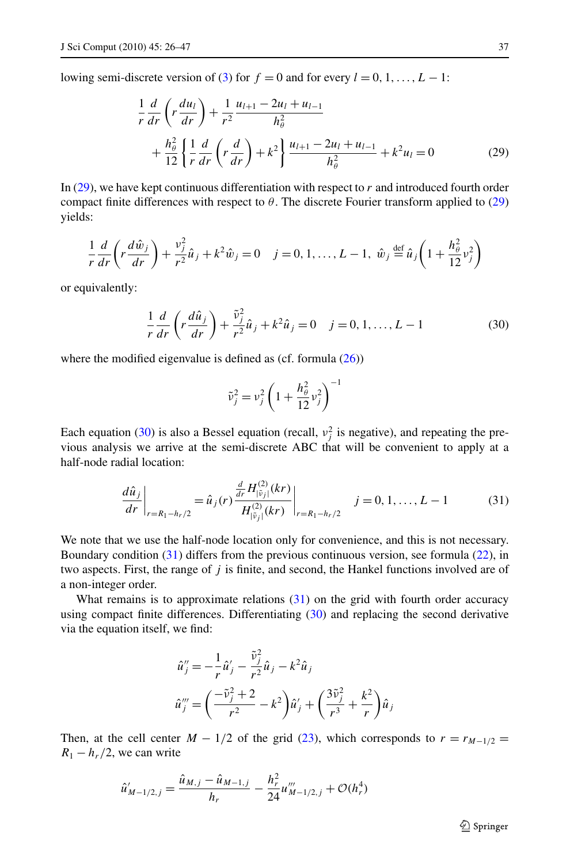lowing semi-discrete version of ([3](#page-2-0)) for  $f = 0$  and for every  $l = 0, 1, \ldots, L - 1$ :

<span id="page-11-0"></span>
$$
\frac{1}{r}\frac{d}{dr}\left(r\frac{du_l}{dr}\right) + \frac{1}{r^2}\frac{u_{l+1} - 2u_l + u_{l-1}}{h_\theta^2} + \frac{h_\theta^2}{12}\left\{\frac{1}{r}\frac{d}{dr}\left(r\frac{d}{dr}\right) + k^2\right\}\frac{u_{l+1} - 2u_l + u_{l-1}}{h_\theta^2} + k^2 u_l = 0
$$
\n(29)

In ([29](#page-11-0)), we have kept continuous differentiation with respect to *r* and introduced fourth order compact finite differences with respect to  $\theta$ . The discrete Fourier transform applied to ([29](#page-11-0)) yields:

$$
\frac{1}{r}\frac{d}{dr}\left(r\frac{d\hat{w}_j}{dr}\right) + \frac{v_j^2}{r^2}\hat{u}_j + k^2\hat{w}_j = 0 \quad j = 0, 1, ..., L-1, \ \hat{w}_j \stackrel{\text{def}}{=} \hat{u}_j\left(1 + \frac{h_\theta^2}{12}v_j^2\right)
$$

or equivalently:

$$
\frac{1}{r}\frac{d}{dr}\left(r\frac{d\hat{u}_j}{dr}\right) + \frac{\tilde{v}_j^2}{r^2}\hat{u}_j + k^2\hat{u}_j = 0 \quad j = 0, 1, ..., L - 1
$$
\n(30)

where the modified eigenvalue is defined as  $(cf. formula (26))$  $(cf. formula (26))$  $(cf. formula (26))$ 

<span id="page-11-2"></span><span id="page-11-1"></span>
$$
\tilde{\nu}_j^2 = \nu_j^2 \left( 1 + \frac{h_\theta^2}{12} \nu_j^2 \right)^{-1}
$$

Each equation ([30](#page-11-1)) is also a Bessel equation (recall,  $v_j^2$  is negative), and repeating the previous analysis we arrive at the semi-discrete ABC that will be convenient to apply at a half-node radial location:

$$
\left. \frac{d\hat{u}_j}{dr} \right|_{r=R_1-h_r/2} = \hat{u}_j(r) \frac{\frac{d}{dr} H_{|\tilde{v}_j|}^{(2)}(kr)}{H_{|\tilde{v}_j|}^{(2)}(kr)} \bigg|_{r=R_1-h_r/2} \qquad j=0,1,\ldots,L-1 \tag{31}
$$

We note that we use the half-node location only for convenience, and this is not necessary. Boundary condition [\(31\)](#page-11-2) differs from the previous continuous version, see formula ([22](#page-9-1)), in two aspects. First, the range of *j* is finite, and second, the Hankel functions involved are of a non-integer order.

What remains is to approximate relations  $(31)$  on the grid with fourth order accuracy using compact finite differences. Differentiating [\(30\)](#page-11-1) and replacing the second derivative via the equation itself, we find:

$$
\hat{u}''_j = -\frac{1}{r}\hat{u}'_j - \frac{\tilde{v}_j^2}{r^2}\hat{u}_j - k^2\hat{u}_j
$$
  

$$
\hat{u}'''_j = \left(\frac{-\tilde{v}_j^2 + 2}{r^2} - k^2\right)\hat{u}'_j + \left(\frac{3\tilde{v}_j^2}{r^3} + \frac{k^2}{r}\right)\hat{u}_j
$$

Then, at the cell center  $M - 1/2$  of the grid ([23](#page-9-5)), which corresponds to  $r = r_{M-1/2}$  $R_1 - h_r/2$ , we can write

$$
\hat{u}'_{M-1/2,j} = \frac{\hat{u}_{M,j} - \hat{u}_{M-1,j}}{h_r} - \frac{h_r^2}{24} u'''_{M-1/2,j} + \mathcal{O}(h_r^4)
$$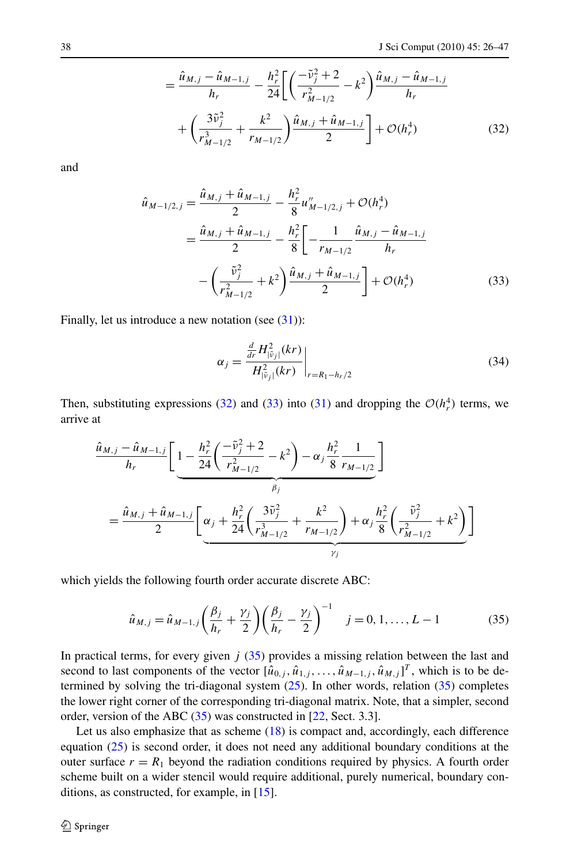<span id="page-12-1"></span><span id="page-12-0"></span>
$$
= \frac{\hat{u}_{M,j} - \hat{u}_{M-1,j}}{h_r} - \frac{h_r^2}{24} \left[ \left( \frac{-\tilde{v}_j^2 + 2}{r_{M-1/2}^2} - k^2 \right) \frac{\hat{u}_{M,j} - \hat{u}_{M-1,j}}{h_r} + \left( \frac{3\tilde{v}_j^2}{r_{M-1/2}^3} + \frac{k^2}{r_{M-1/2}} \right) \frac{\hat{u}_{M,j} + \hat{u}_{M-1,j}}{2} \right] + \mathcal{O}(h_r^4)
$$
(32)

and

$$
\hat{u}_{M-1/2,j} = \frac{\hat{u}_{M,j} + \hat{u}_{M-1,j}}{2} - \frac{h_r^2}{8} u''_{M-1/2,j} + \mathcal{O}(h_r^4)
$$

$$
= \frac{\hat{u}_{M,j} + \hat{u}_{M-1,j}}{2} - \frac{h_r^2}{8} \left[ -\frac{1}{r_{M-1/2}} \frac{\hat{u}_{M,j} - \hat{u}_{M-1,j}}{h_r} - \left( \frac{\tilde{v}_j^2}{r_{M-1/2}^2} + k^2 \right) \frac{\hat{u}_{M,j} + \hat{u}_{M-1,j}}{2} \right] + \mathcal{O}(h_r^4) \tag{33}
$$

Finally, let us introduce a new notation (see  $(31)$ ):

<span id="page-12-3"></span><span id="page-12-2"></span>
$$
\alpha_{j} = \frac{\frac{d}{dr} H_{|\tilde{v}_{j}|}^{2}(kr)}{H_{|\tilde{v}_{j}|}^{2}(kr)}\bigg|_{r=R_{1}-h_{r}/2}
$$
\n(34)

Then, substituting expressions ([32](#page-12-0)) and ([33](#page-12-1)) into ([31](#page-11-2)) and dropping the  $O(h_r^4)$  terms, we arrive at

$$
\frac{\hat{u}_{M,j} - \hat{u}_{M-1,j}}{h_r} \left[ \underbrace{1 - \frac{h_r^2}{24} \left( \frac{-\tilde{v}_j^2 + 2}{r_{M-1/2}^2} - k^2 \right) - \alpha_j \frac{h_r^2}{8} \frac{1}{r_{M-1/2}} \right]}_{\beta_j}
$$
\n
$$
= \frac{\hat{u}_{M,j} + \hat{u}_{M-1,j}}{2} \left[ \underbrace{\alpha_j + \frac{h_r^2}{24} \left( \frac{3\tilde{v}_j^2}{r_{M-1/2}^3} + \frac{k^2}{r_{M-1/2}} \right) + \alpha_j \frac{h_r^2}{8} \left( \frac{\tilde{v}_j^2}{r_{M-1/2}^2} + k^2 \right)}_{\gamma_j} \right]
$$

which yields the following fourth order accurate discrete ABC:

$$
\hat{u}_{M,j} = \hat{u}_{M-1,j} \left( \frac{\beta_j}{h_r} + \frac{\gamma_j}{2} \right) \left( \frac{\beta_j}{h_r} - \frac{\gamma_j}{2} \right)^{-1} \quad j = 0, 1, \dots, L-1 \tag{35}
$$

In practical terms, for every given *j* ([35](#page-12-2)) provides a missing relation between the last and second to last components of the vector  $[\hat{u}_{0,j}, \hat{u}_{1,j}, \dots, \hat{u}_{M-1,j}, \hat{u}_{M,j}]^T$ , which is to be determined by solving the tri-diagonal system  $(25)$ . In other words, relation  $(35)$  completes the lower right corner of the corresponding tri-diagonal matrix. Note, that a simpler, second order, version of the ABC [\(35\)](#page-12-2) was constructed in [\[22,](#page-20-26) Sect. 3.3].

Let us also emphasize that as scheme [\(18\)](#page-7-2) is compact and, accordingly, each difference equation ([25](#page-10-1)) is second order, it does not need any additional boundary conditions at the outer surface  $r = R_1$  beyond the radiation conditions required by physics. A fourth order scheme built on a wider stencil would require additional, purely numerical, boundary conditions, as constructed, for example, in [[15](#page-20-27)].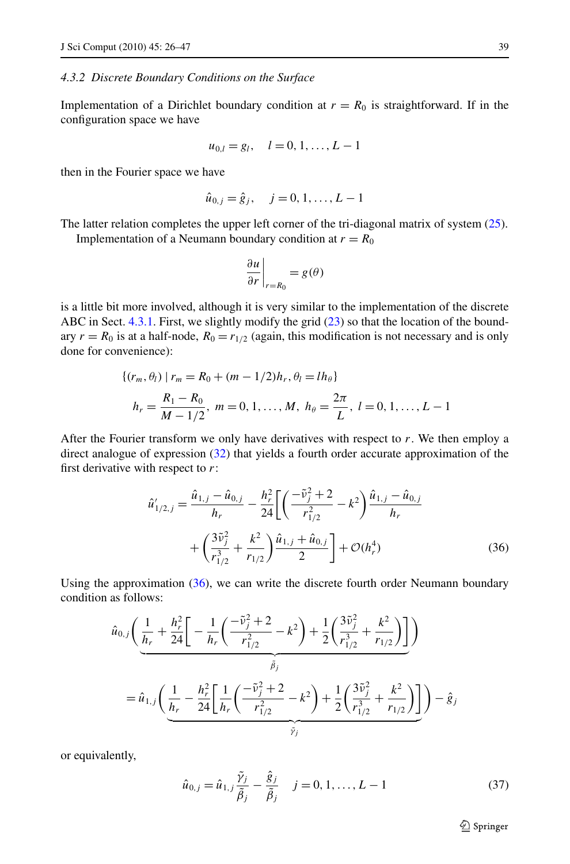### *4.3.2 Discrete Boundary Conditions on the Surface*

Implementation of a Dirichlet boundary condition at  $r = R_0$  is straightforward. If in the configuration space we have

$$
u_{0,l} = g_l, \quad l = 0, 1, \ldots, L-1
$$

then in the Fourier space we have

$$
\hat{u}_{0,j} = \hat{g}_j, \quad j = 0, 1, \dots, L-1
$$

The latter relation completes the upper left corner of the tri-diagonal matrix of system ([25](#page-10-1)). Implementation of a Neumann boundary condition at  $r = R_0$ 

<span id="page-13-0"></span>
$$
\left. \frac{\partial u}{\partial r} \right|_{r=R_0} = g(\theta)
$$

is a little bit more involved, although it is very similar to the implementation of the discrete ABC in Sect. [4.3.1](#page-10-0). First, we slightly modify the grid ([23](#page-9-5)) so that the location of the boundary  $r = R_0$  is at a half-node,  $R_0 = r_{1/2}$  (again, this modification is not necessary and is only done for convenience):

$$
\{(r_m, \theta_l) \mid r_m = R_0 + (m - 1/2)h_r, \theta_l = lh_\theta\}
$$
  

$$
h_r = \frac{R_1 - R_0}{M - 1/2}, \ m = 0, 1, ..., M, \ h_\theta = \frac{2\pi}{L}, \ l = 0, 1, ..., L - 1
$$

After the Fourier transform we only have derivatives with respect to  $r$ . We then employ a direct analogue of expression ([32](#page-12-0)) that yields a fourth order accurate approximation of the first derivative with respect to *r*:

$$
\hat{u}'_{1/2,j} = \frac{\hat{u}_{1,j} - \hat{u}_{0,j}}{h_r} - \frac{h_r^2}{24} \left[ \left( \frac{-\tilde{v}_j^2 + 2}{r_{1/2}^2} - k^2 \right) \frac{\hat{u}_{1,j} - \hat{u}_{0,j}}{h_r} + \left( \frac{3\tilde{v}_j^2}{r_{1/2}^3} + \frac{k^2}{r_{1/2}} \right) \frac{\hat{u}_{1,j} + \hat{u}_{0,j}}{2} \right] + \mathcal{O}(h_r^4)
$$
\n(36)

Using the approximation ([36](#page-13-0)), we can write the discrete fourth order Neumann boundary condition as follows:

$$
\hat{u}_{0,j}\left(\underbrace{\frac{1}{h_r} + \frac{h_r^2}{24}\bigg[-\frac{1}{h_r}\bigg(\frac{-\tilde{v}_j^2 + 2}{r_{1/2}^2} - k^2\bigg) + \frac{1}{2}\bigg(\frac{3\tilde{v}_j^2}{r_{1/2}^3} + \frac{k^2}{r_{1/2}}\bigg)\bigg]}_{\tilde{\beta}_j}\right)
$$
\n
$$
= \hat{u}_{1,j}\left(\underbrace{\frac{1}{h_r} - \frac{h_r^2}{24}\bigg[\frac{1}{h_r}\bigg(\frac{-\tilde{v}_j^2 + 2}{r_{1/2}^2} - k^2\bigg) + \frac{1}{2}\bigg(\frac{3\tilde{v}_j^2}{r_{1/2}^3} + \frac{k^2}{r_{1/2}}\bigg)\bigg]}_{\tilde{y}_j}\right) - \hat{g}_j
$$

or equivalently,

<span id="page-13-1"></span>
$$
\hat{u}_{0,j} = \hat{u}_{1,j} \frac{\tilde{\gamma}_j}{\tilde{\beta}_j} - \frac{\hat{g}_j}{\tilde{\beta}_j} \quad j = 0, 1, ..., L - 1
$$
\n(37)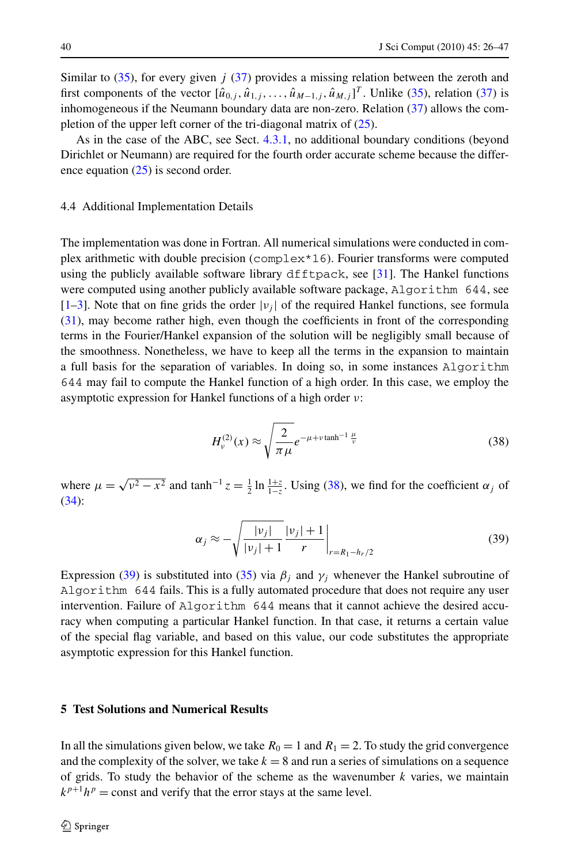Similar to [\(35](#page-12-2)), for every given *j* [\(37\)](#page-13-1) provides a missing relation between the zeroth and first components of the vector  $[\hat{u}_{0,j}, \hat{u}_{1,j}, \ldots, \hat{u}_{M-1,j}, \hat{u}_{M,j}]^T$ . Unlike [\(35\)](#page-12-2), relation ([37\)](#page-13-1) is inhomogeneous if the Neumann boundary data are non-zero. Relation [\(37\)](#page-13-1) allows the completion of the upper left corner of the tri-diagonal matrix of [\(25\)](#page-10-1).

As in the case of the ABC, see Sect. [4.3.1](#page-10-0), no additional boundary conditions (beyond Dirichlet or Neumann) are required for the fourth order accurate scheme because the difference equation ([25](#page-10-1)) is second order.

### 4.4 Additional Implementation Details

The implementation was done in Fortran. All numerical simulations were conducted in complex arithmetic with double precision (complex\*16). Fourier transforms were computed using the publicly available software library  $dfftpack$ , see [[31](#page-20-28)]. The Hankel functions were computed using another publicly available software package, Algorithm 644, see [ $1-3$  $1-3$ ]. Note that on fine grids the order  $|\nu_i|$  of the required Hankel functions, see formula ([31](#page-11-2)), may become rather high, even though the coefficients in front of the corresponding terms in the Fourier/Hankel expansion of the solution will be negligibly small because of the smoothness. Nonetheless, we have to keep all the terms in the expansion to maintain a full basis for the separation of variables. In doing so, in some instances Algorithm 644 may fail to compute the Hankel function of a high order. In this case, we employ the asymptotic expression for Hankel functions of a high order *ν*:

<span id="page-14-2"></span><span id="page-14-1"></span>
$$
H_{\nu}^{(2)}(x) \approx \sqrt{\frac{2}{\pi \mu}} e^{-\mu + \nu \tanh^{-1} \frac{\mu}{\nu}}
$$
 (38)

where  $\mu = \sqrt{\nu^2 - x^2}$  and  $\tanh^{-1} z = \frac{1}{2} \ln \frac{1+z}{1-z}$ . Using ([38](#page-14-1)), we find for the coefficient  $\alpha_j$  of ([34](#page-12-3)):

$$
\alpha_j \approx -\sqrt{\frac{|v_j|}{|v_j|+1}} \frac{|v_j|+1}{r} \bigg|_{r=R_1-h_r/2} \tag{39}
$$

<span id="page-14-0"></span>Expression [\(39\)](#page-14-2) is substituted into [\(35\)](#page-12-2) via  $\beta_j$  and  $\gamma_j$  whenever the Hankel subroutine of Algorithm 644 fails. This is a fully automated procedure that does not require any user intervention. Failure of Algorithm 644 means that it cannot achieve the desired accuracy when computing a particular Hankel function. In that case, it returns a certain value of the special flag variable, and based on this value, our code substitutes the appropriate asymptotic expression for this Hankel function.

### **5 Test Solutions and Numerical Results**

In all the simulations given below, we take  $R_0 = 1$  and  $R_1 = 2$ . To study the grid convergence and the complexity of the solver, we take  $k = 8$  and run a series of simulations on a sequence of grids. To study the behavior of the scheme as the wavenumber *k* varies, we maintain  $k^{p+1}h^p = \text{const}$  and verify that the error stays at the same level.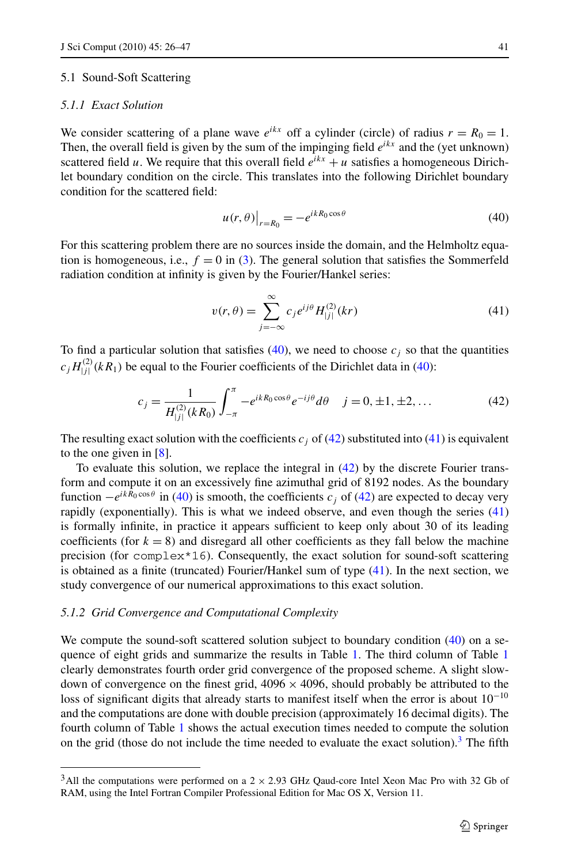### <span id="page-15-5"></span>5.1 Sound-Soft Scattering

### *5.1.1 Exact Solution*

We consider scattering of a plane wave  $e^{ikx}$  off a cylinder (circle) of radius  $r = R_0 = 1$ . Then, the overall field is given by the sum of the impinging field *eikx* and the (yet unknown) scattered field *u*. We require that this overall field  $e^{ikx} + u$  satisfies a homogeneous Dirichlet boundary condition on the circle. This translates into the following Dirichlet boundary condition for the scattered field:

<span id="page-15-2"></span><span id="page-15-1"></span><span id="page-15-0"></span>
$$
u(r,\theta)\big|_{r=R_0} = -e^{ikR_0\cos\theta} \tag{40}
$$

For this scattering problem there are no sources inside the domain, and the Helmholtz equation is homogeneous, i.e.,  $f = 0$  in [\(3](#page-2-0)). The general solution that satisfies the Sommerfeld radiation condition at infinity is given by the Fourier/Hankel series:

$$
v(r,\theta) = \sum_{j=-\infty}^{\infty} c_j e^{ij\theta} H_{|j|}^{(2)}(kr)
$$
 (41)

To find a particular solution that satisfies  $(40)$  $(40)$  $(40)$ , we need to choose  $c_j$  so that the quantities  $c_j H_{|j|}^{(2)}(kR_1)$  be equal to the Fourier coefficients of the Dirichlet data in ([40](#page-15-0)):

$$
c_j = \frac{1}{H_{|j|}^{(2)}(kR_0)} \int_{-\pi}^{\pi} -e^{ikR_0 \cos \theta} e^{-ij\theta} d\theta \quad j = 0, \pm 1, \pm 2, ... \tag{42}
$$

The resulting exact solution with the coefficients  $c_j$  of ([42\)](#page-15-1) substituted into ([41](#page-15-2)) is equivalent to the one given in  $[8]$  $[8]$ .

<span id="page-15-4"></span>To evaluate this solution, we replace the integral in  $(42)$  by the discrete Fourier transform and compute it on an excessively fine azimuthal grid of 8192 nodes. As the boundary function  $-e^{ikR_0 \cos \theta}$  in [\(40](#page-15-0)) is smooth, the coefficients  $c_j$  of ([42](#page-15-1)) are expected to decay very rapidly (exponentially). This is what we indeed observe, and even though the series ([41](#page-15-2)) is formally infinite, in practice it appears sufficient to keep only about 30 of its leading coefficients (for  $k = 8$ ) and disregard all other coefficients as they fall below the machine precision (for complex\*16). Consequently, the exact solution for sound-soft scattering is obtained as a finite (truncated) Fourier/Hankel sum of type ([41](#page-15-2)). In the next section, we study convergence of our numerical approximations to this exact solution.

#### *5.1.2 Grid Convergence and Computational Complexity*

<span id="page-15-3"></span>We compute the sound-soft scattered solution subject to boundary condition [\(40\)](#page-15-0) on a sequence of eight grids and summarize the results in Table [1](#page-16-0). The third column of Table [1](#page-16-0) clearly demonstrates fourth order grid convergence of the proposed scheme. A slight slowdown of convergence on the finest grid,  $4096 \times 4096$ , should probably be attributed to the loss of significant digits that already starts to manifest itself when the error is about  $10^{-10}$ and the computations are done with double precision (approximately 16 decimal digits). The fourth column of Table [1](#page-16-0) shows the actual execution times needed to compute the solution on the grid (those do not include the time needed to evaluate the exact solution).<sup>[3](#page-15-3)</sup> The fifth

 $3$ All the computations were performed on a  $2 \times 2.93$  GHz Qaud-core Intel Xeon Mac Pro with 32 Gb of RAM, using the Intel Fortran Compiler Professional Edition for Mac OS X, Version 11.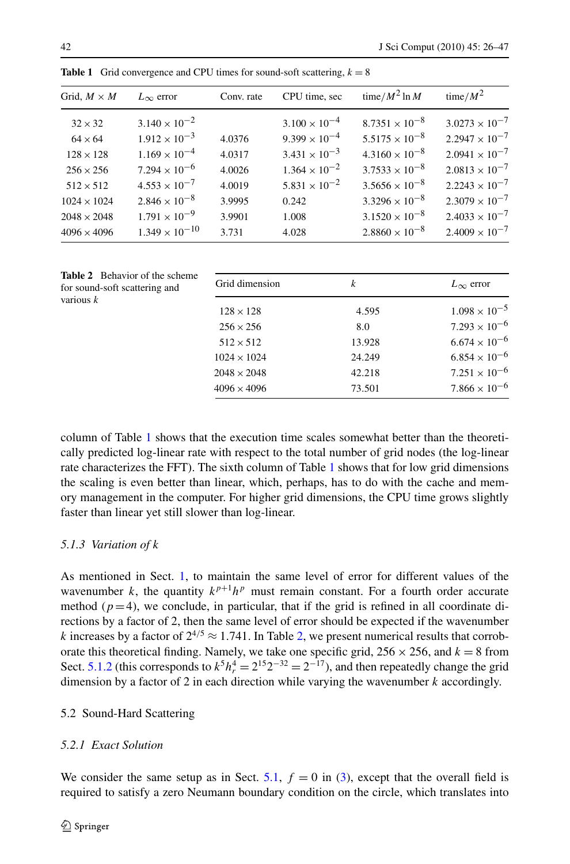<span id="page-16-1"></span>

| Grid, $M \times M$ | $L_{\infty}$ error      | Conv. rate | CPU time, sec          | time/ $M^2$ ln M        | time/ $M^2$             |
|--------------------|-------------------------|------------|------------------------|-------------------------|-------------------------|
| $32 \times 32$     | $3.140 \times 10^{-2}$  |            | $3.100 \times 10^{-4}$ | $8.7351 \times 10^{-8}$ | $3.0273 \times 10^{-7}$ |
| $64 \times 64$     | $1.912 \times 10^{-3}$  | 4.0376     | $9.399 \times 10^{-4}$ | $5.5175 \times 10^{-8}$ | $2.2947 \times 10^{-7}$ |
| $128 \times 128$   | $1.169 \times 10^{-4}$  | 4.0317     | $3.431 \times 10^{-3}$ | $4.3160 \times 10^{-8}$ | $2.0941 \times 10^{-7}$ |
| $256 \times 256$   | $7.294 \times 10^{-6}$  | 4.0026     | $1.364 \times 10^{-2}$ | $3.7533 \times 10^{-8}$ | $2.0813 \times 10^{-7}$ |
| $512 \times 512$   | $4.553 \times 10^{-7}$  | 4.0019     | $5.831 \times 10^{-2}$ | $3.5656 \times 10^{-8}$ | $2.2243 \times 10^{-7}$ |
| $1024 \times 1024$ | $2.846 \times 10^{-8}$  | 3.9995     | 0.242                  | $3.3296 \times 10^{-8}$ | $2.3079 \times 10^{-7}$ |
| $2048 \times 2048$ | $1.791 \times 10^{-9}$  | 3.9901     | 1.008                  | $3.1520 \times 10^{-8}$ | $2.4033 \times 10^{-7}$ |
| $4096 \times 4096$ | $1.349 \times 10^{-10}$ | 3.731      | 4.028                  | $2.8860 \times 10^{-8}$ | $2.4009 \times 10^{-7}$ |

<span id="page-16-0"></span>**Table 1** Grid convergence and CPU times for sound-soft scattering,  $k = 8$ 

**Table 2** Behavior of the scheme for sound-soft scattering and various *k*

| Grid dimension     | k      | $L_{\infty}$ error     |
|--------------------|--------|------------------------|
| $128 \times 128$   | 4.595  | $1.098 \times 10^{-5}$ |
| $256 \times 256$   | 8.0    | $7.293 \times 10^{-6}$ |
| $512 \times 512$   | 13.928 | $6.674 \times 10^{-6}$ |
| $1024 \times 1024$ | 24.249 | $6.854 \times 10^{-6}$ |
| $2048 \times 2048$ | 42.218 | $7.251 \times 10^{-6}$ |
| $4096 \times 4096$ | 73.501 | $7.866 \times 10^{-6}$ |

<span id="page-16-2"></span>column of Table [1](#page-16-0) shows that the execution time scales somewhat better than the theoretically predicted log-linear rate with respect to the total number of grid nodes (the log-linear rate characterizes the FFT). The sixth column of Table [1](#page-16-0) shows that for low grid dimensions the scaling is even better than linear, which, perhaps, has to do with the cache and memory management in the computer. For higher grid dimensions, the CPU time grows slightly faster than linear yet still slower than log-linear.

# *5.1.3 Variation of k*

As mentioned in Sect. [1,](#page-0-1) to maintain the same level of error for different values of the wavenumber *k*, the quantity  $k^{p+1}h^p$  must remain constant. For a fourth order accurate method  $(p=4)$ , we conclude, in particular, that if the grid is refined in all coordinate directions by a factor of 2, then the same level of error should be expected if the wavenumber *k* increases by a factor of  $2^{4/5} \approx 1.741$ . In Table [2,](#page-16-1) we present numerical results that corroborate this theoretical finding. Namely, we take one specific grid,  $256 \times 256$ , and  $k = 8$  from Sect. [5.1.2](#page-15-4) (this corresponds to  $k^5 h_r^4 = 2^{15} 2^{-32} = 2^{-17}$ ), and then repeatedly change the grid dimension by a factor of 2 in each direction while varying the wavenumber *k* accordingly.

# 5.2 Sound-Hard Scattering

# *5.2.1 Exact Solution*

We consider the same setup as in Sect. [5.1](#page-15-5),  $f = 0$  in [\(3](#page-2-0)), except that the overall field is required to satisfy a zero Neumann boundary condition on the circle, which translates into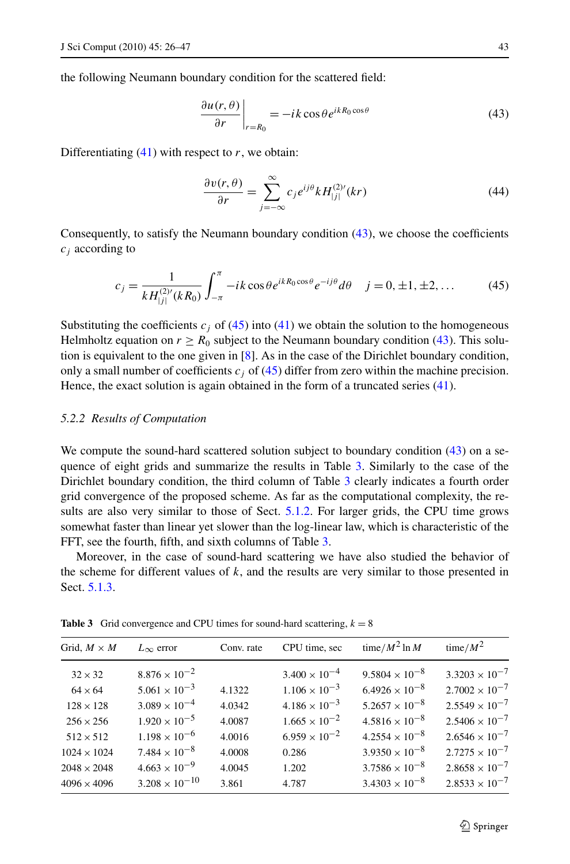the following Neumann boundary condition for the scattered field:

<span id="page-17-0"></span>
$$
\left. \frac{\partial u(r,\theta)}{\partial r} \right|_{r=R_0} = -ik \cos \theta e^{ikR_0 \cos \theta} \tag{43}
$$

Differentiating  $(41)$  with respect to *r*, we obtain:

<span id="page-17-1"></span>
$$
\frac{\partial v(r,\theta)}{\partial r} = \sum_{j=-\infty}^{\infty} c_j e^{ij\theta} k H_{|j|}^{(2)'}(kr)
$$
(44)

Consequently, to satisfy the Neumann boundary condition ([43\)](#page-17-0), we choose the coefficients *cj* according to

$$
c_j = \frac{1}{k H_{|j|}^{(2)'} (k R_0)} \int_{-\pi}^{\pi} -ik \cos \theta e^{ikR_0 \cos \theta} e^{-ij\theta} d\theta \quad j = 0, \pm 1, \pm 2, ... \tag{45}
$$

Substituting the coefficients  $c_j$  of [\(45\)](#page-17-1) into ([41](#page-15-2)) we obtain the solution to the homogeneous Helmholtz equation on  $r \ge R_0$  subject to the Neumann boundary condition ([43](#page-17-0)). This solution is equivalent to the one given in  $[8]$  $[8]$ . As in the case of the Dirichlet boundary condition, only a small number of coefficients  $c_j$  of ([45](#page-17-1)) differ from zero within the machine precision. Hence, the exact solution is again obtained in the form of a truncated series [\(41\)](#page-15-2).

### *5.2.2 Results of Computation*

We compute the sound-hard scattered solution subject to boundary condition ([43](#page-17-0)) on a sequence of eight grids and summarize the results in Table [3](#page-17-2). Similarly to the case of the Dirichlet boundary condition, the third column of Table [3](#page-17-2) clearly indicates a fourth order grid convergence of the proposed scheme. As far as the computational complexity, the re-sults are also very similar to those of Sect. [5.1.2](#page-15-4). For larger grids, the CPU time grows somewhat faster than linear yet slower than the log-linear law, which is characteristic of the FFT, see the fourth, fifth, and sixth columns of Table [3](#page-17-2).

<span id="page-17-2"></span>Moreover, in the case of sound-hard scattering we have also studied the behavior of the scheme for different values of  $k$ , and the results are very similar to those presented in Sect. [5.1.3.](#page-16-2)

| Grid, $M \times M$ | $L_{\infty}$ error      | Conv. rate | CPU time, sec          | time/ $M^2$ ln M        | time/ $M^2$             |
|--------------------|-------------------------|------------|------------------------|-------------------------|-------------------------|
| $32 \times 32$     | $8.876 \times 10^{-2}$  |            | $3.400 \times 10^{-4}$ | $9.5804 \times 10^{-8}$ | $3.3203 \times 10^{-7}$ |
| $64 \times 64$     | $5.061 \times 10^{-3}$  | 4.1322     | $1.106 \times 10^{-3}$ | $6.4926 \times 10^{-8}$ | $2.7002 \times 10^{-7}$ |
| $128 \times 128$   | $3.089 \times 10^{-4}$  | 4.0342     | $4.186 \times 10^{-3}$ | $5.2657 \times 10^{-8}$ | $2.5549 \times 10^{-7}$ |
| $256 \times 256$   | $1.920 \times 10^{-5}$  | 4.0087     | $1.665 \times 10^{-2}$ | $4.5816 \times 10^{-8}$ | $2.5406 \times 10^{-7}$ |
| $512 \times 512$   | $1.198 \times 10^{-6}$  | 4.0016     | $6.959 \times 10^{-2}$ | $4.2554 \times 10^{-8}$ | $2.6546 \times 10^{-7}$ |
| $1024 \times 1024$ | $7.484 \times 10^{-8}$  | 4.0008     | 0.286                  | $3.9350 \times 10^{-8}$ | $2.7275 \times 10^{-7}$ |
| $2048 \times 2048$ | $4.663 \times 10^{-9}$  | 4.0045     | 1.202                  | $3.7586 \times 10^{-8}$ | $2.8658 \times 10^{-7}$ |
| $4096 \times 4096$ | $3.208 \times 10^{-10}$ | 3.861      | 4.787                  | $3.4303 \times 10^{-8}$ | $2.8533 \times 10^{-7}$ |

**Table 3** Grid convergence and CPU times for sound-hard scattering,  $k = 8$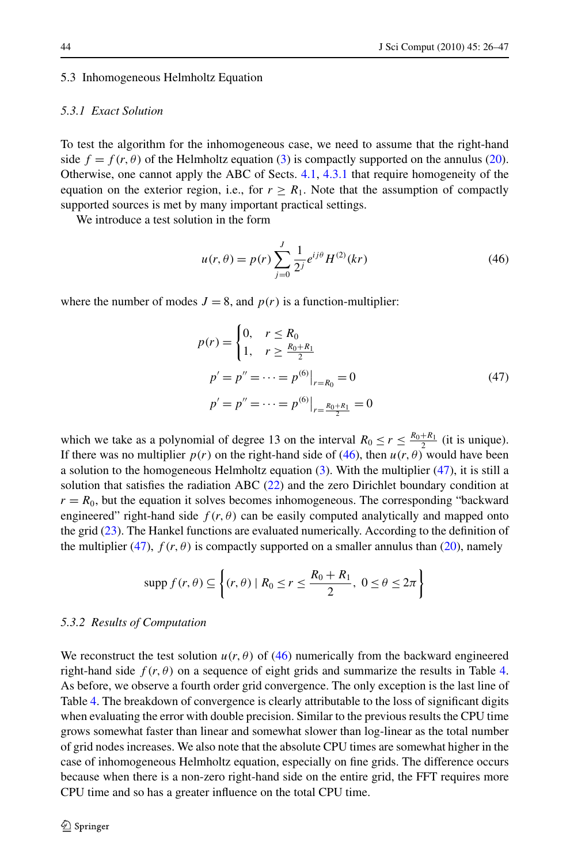#### 5.3 Inhomogeneous Helmholtz Equation

### *5.3.1 Exact Solution*

To test the algorithm for the inhomogeneous case, we need to assume that the right-hand side  $f = f(r, \theta)$  of the Helmholtz equation [\(3](#page-2-0)) is compactly supported on the annulus ([20](#page-8-1)). Otherwise, one cannot apply the ABC of Sects. [4.1](#page-8-4), [4.3.1](#page-10-0) that require homogeneity of the equation on the exterior region, i.e., for  $r \geq R_1$ . Note that the assumption of compactly supported sources is met by many important practical settings.

We introduce a test solution in the form

<span id="page-18-1"></span><span id="page-18-0"></span>
$$
u(r,\theta) = p(r) \sum_{j=0}^{J} \frac{1}{2^{j}} e^{ij\theta} H^{(2)}(kr)
$$
 (46)

where the number of modes  $J = 8$ , and  $p(r)$  is a function-multiplier:

$$
p(r) = \begin{cases} 0, & r \le R_0 \\ 1, & r \ge \frac{R_0 + R_1}{2} \end{cases}
$$
  

$$
p' = p'' = \dots = p^{(6)}|_{r=R_0} = 0
$$
  

$$
p' = p'' = \dots = p^{(6)}|_{r=\frac{R_0 + R_1}{2}} = 0
$$
 (47)

which we take as a polynomial of degree 13 on the interval  $R_0 \le r \le \frac{R_0 + R_1}{2}$  (it is unique). If there was no multiplier  $p(r)$  on the right-hand side of ([46](#page-18-0)), then  $u(r, \theta)$  would have been a solution to the homogeneous Helmholtz equation  $(3)$  $(3)$ . With the multiplier  $(47)$ , it is still a solution that satisfies the radiation ABC [\(22\)](#page-9-1) and the zero Dirichlet boundary condition at  $r = R_0$ , but the equation it solves becomes inhomogeneous. The corresponding "backward" engineered" right-hand side  $f(r, \theta)$  can be easily computed analytically and mapped onto the grid ([23](#page-9-5)). The Hankel functions are evaluated numerically. According to the definition of the multiplier ([47](#page-18-1)),  $f(r, \theta)$  is compactly supported on a smaller annulus than ([20](#page-8-1)), namely

$$
\operatorname{supp} f(r,\theta) \subseteq \left\{ (r,\theta) \mid R_0 \le r \le \frac{R_0 + R_1}{2}, \ 0 \le \theta \le 2\pi \right\}
$$

#### *5.3.2 Results of Computation*

We reconstruct the test solution  $u(r, \theta)$  of ([46\)](#page-18-0) numerically from the backward engineered right-hand side  $f(r, \theta)$  on a sequence of eight grids and summarize the results in Table [4](#page-19-3). As before, we observe a fourth order grid convergence. The only exception is the last line of Table [4](#page-19-3). The breakdown of convergence is clearly attributable to the loss of significant digits when evaluating the error with double precision. Similar to the previous results the CPU time grows somewhat faster than linear and somewhat slower than log-linear as the total number of grid nodes increases. We also note that the absolute CPU times are somewhat higher in the case of inhomogeneous Helmholtz equation, especially on fine grids. The difference occurs because when there is a non-zero right-hand side on the entire grid, the FFT requires more CPU time and so has a greater influence on the total CPU time.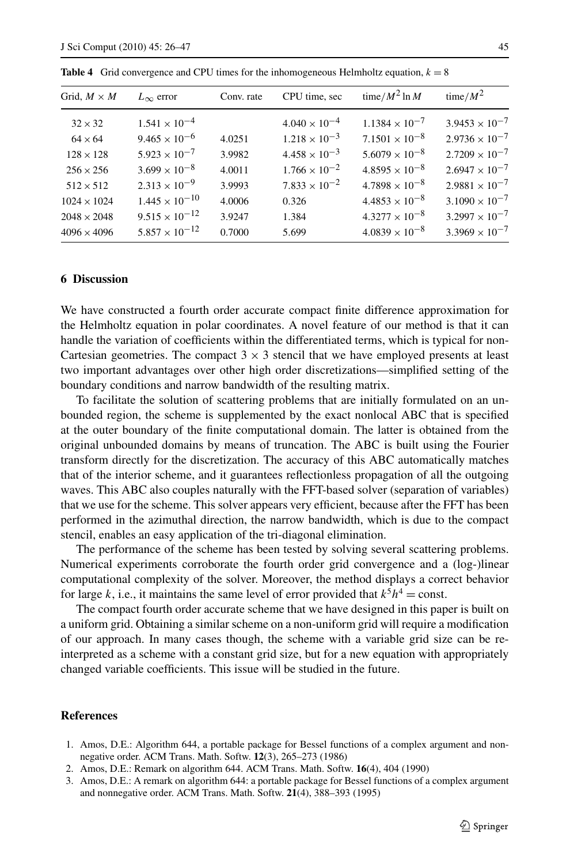<span id="page-19-0"></span>

| Grid, $M \times M$ | $L_{\infty}$ error      | Conv. rate | CPU time, sec          | time/ $M^2$ ln M        | time/ $M^2$             |
|--------------------|-------------------------|------------|------------------------|-------------------------|-------------------------|
| $32 \times 32$     | $1.541 \times 10^{-4}$  |            | $4.040 \times 10^{-4}$ | $1.1384 \times 10^{-7}$ | $3.9453 \times 10^{-7}$ |
| $64 \times 64$     | $9.465 \times 10^{-6}$  | 4.0251     | $1.218 \times 10^{-3}$ | $7.1501 \times 10^{-8}$ | $2.9736 \times 10^{-7}$ |
| $128 \times 128$   | $5.923 \times 10^{-7}$  | 3.9982     | $4.458 \times 10^{-3}$ | $5.6079 \times 10^{-8}$ | $2.7209 \times 10^{-7}$ |
| $256 \times 256$   | $3.699 \times 10^{-8}$  | 4.0011     | $1.766 \times 10^{-2}$ | $4.8595 \times 10^{-8}$ | $2.6947 \times 10^{-7}$ |
| $512 \times 512$   | $2.313 \times 10^{-9}$  | 3.9993     | $7.833 \times 10^{-2}$ | $4.7898 \times 10^{-8}$ | $2.9881 \times 10^{-7}$ |
| $1024 \times 1024$ | $1.445 \times 10^{-10}$ | 4.0006     | 0.326                  | $4.4853 \times 10^{-8}$ | $3.1090 \times 10^{-7}$ |
| $2048 \times 2048$ | $9.515 \times 10^{-12}$ | 3.9247     | 1.384                  | $4.3277 \times 10^{-8}$ | $3.2997 \times 10^{-7}$ |
| $4096 \times 4096$ | $5.857 \times 10^{-12}$ | 0.7000     | 5.699                  | $4.0839 \times 10^{-8}$ | $3.3969 \times 10^{-7}$ |

<span id="page-19-3"></span>**Table 4** Grid convergence and CPU times for the inhomogeneous Helmholtz equation,  $k = 8$ 

### **6 Discussion**

We have constructed a fourth order accurate compact finite difference approximation for the Helmholtz equation in polar coordinates. A novel feature of our method is that it can handle the variation of coefficients within the differentiated terms, which is typical for non-Cartesian geometries. The compact  $3 \times 3$  stencil that we have employed presents at least two important advantages over other high order discretizations—simplified setting of the boundary conditions and narrow bandwidth of the resulting matrix.

To facilitate the solution of scattering problems that are initially formulated on an unbounded region, the scheme is supplemented by the exact nonlocal ABC that is specified at the outer boundary of the finite computational domain. The latter is obtained from the original unbounded domains by means of truncation. The ABC is built using the Fourier transform directly for the discretization. The accuracy of this ABC automatically matches that of the interior scheme, and it guarantees reflectionless propagation of all the outgoing waves. This ABC also couples naturally with the FFT-based solver (separation of variables) that we use for the scheme. This solver appears very efficient, because after the FFT has been performed in the azimuthal direction, the narrow bandwidth, which is due to the compact stencil, enables an easy application of the tri-diagonal elimination.

The performance of the scheme has been tested by solving several scattering problems. Numerical experiments corroborate the fourth order grid convergence and a (log-)linear computational complexity of the solver. Moreover, the method displays a correct behavior for large *k*, i.e., it maintains the same level of error provided that  $k^5h^4$  = const.

<span id="page-19-2"></span><span id="page-19-1"></span>The compact fourth order accurate scheme that we have designed in this paper is built on a uniform grid. Obtaining a similar scheme on a non-uniform grid will require a modification of our approach. In many cases though, the scheme with a variable grid size can be reinterpreted as a scheme with a constant grid size, but for a new equation with appropriately changed variable coefficients. This issue will be studied in the future.

### **References**

- 1. Amos, D.E.: Algorithm 644, a portable package for Bessel functions of a complex argument and nonnegative order. ACM Trans. Math. Softw. **12**(3), 265–273 (1986)
- 2. Amos, D.E.: Remark on algorithm 644. ACM Trans. Math. Softw. **16**(4), 404 (1990)
- 3. Amos, D.E.: A remark on algorithm 644: a portable package for Bessel functions of a complex argument and nonnegative order. ACM Trans. Math. Softw. **21**(4), 388–393 (1995)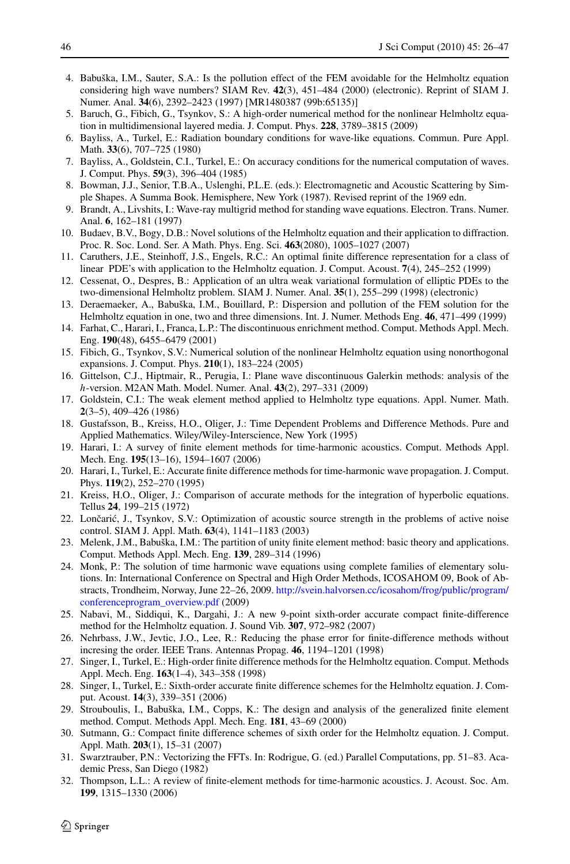- <span id="page-20-25"></span><span id="page-20-24"></span><span id="page-20-22"></span><span id="page-20-8"></span><span id="page-20-3"></span><span id="page-20-2"></span>4. Babuška, I.M., Sauter, S.A.: Is the pollution effect of the FEM avoidable for the Helmholtz equation considering high wave numbers? SIAM Rev. **42**(3), 451–484 (2000) (electronic). Reprint of SIAM J. Numer. Anal. **34**(6), 2392–2423 (1997) [MR1480387 (99b:65135)]
- <span id="page-20-23"></span>5. Baruch, G., Fibich, G., Tsynkov, S.: A high-order numerical method for the nonlinear Helmholtz equation in multidimensional layered media. J. Comput. Phys. **228**, 3789–3815 (2009)
- <span id="page-20-9"></span>6. Bayliss, A., Turkel, E.: Radiation boundary conditions for wave-like equations. Commun. Pure Appl. Math. **33**(6), 707–725 (1980)
- <span id="page-20-16"></span>7. Bayliss, A., Goldstein, C.I., Turkel, E.: On accuracy conditions for the numerical computation of waves. J. Comput. Phys. **59**(3), 396–404 (1985)
- <span id="page-20-4"></span>8. Bowman, J.J., Senior, T.B.A., Uslenghi, P.L.E. (eds.): Electromagnetic and Acoustic Scattering by Simple Shapes. A Summa Book. Hemisphere, New York (1987). Revised reprint of the 1969 edn.
- <span id="page-20-17"></span>9. Brandt, A., Livshits, I.: Wave-ray multigrid method for standing wave equations. Electron. Trans. Numer. Anal. **6**, 162–181 (1997)
- <span id="page-20-27"></span>10. Budaev, B.V., Bogy, D.B.: Novel solutions of the Helmholtz equation and their application to diffraction. Proc. R. Soc. Lond. Ser. A Math. Phys. Eng. Sci. **463**(2080), 1005–1027 (2007)
- <span id="page-20-20"></span>11. Caruthers, J.E., Steinhoff, J.S., Engels, R.C.: An optimal finite difference representation for a class of linear PDE's with application to the Helmholtz equation. J. Comput. Acoust. **7**(4), 245–252 (1999)
- <span id="page-20-15"></span>12. Cessenat, O., Despres, B.: Application of an ultra weak variational formulation of elliptic PDEs to the two-dimensional Helmholtz problem. SIAM J. Numer. Anal. **35**(1), 255–299 (1998) (electronic)
- <span id="page-20-0"></span>13. Deraemaeker, A., Babuška, I.M., Bouillard, P.: Dispersion and pollution of the FEM solution for the Helmholtz equation in one, two and three dimensions. Int. J. Numer. Methods Eng. **46**, 471–499 (1999)
- <span id="page-20-18"></span>14. Farhat, C., Harari, I., Franca, L.P.: The discontinuous enrichment method. Comput. Methods Appl. Mech. Eng. **190**(48), 6455–6479 (2001)
- <span id="page-20-6"></span>15. Fibich, G., Tsynkov, S.V.: Numerical solution of the nonlinear Helmholtz equation using nonorthogonal expansions. J. Comput. Phys. **210**(1), 183–224 (2005)
- <span id="page-20-1"></span>16. Gittelson, C.J., Hiptmair, R., Perugia, I.: Plane wave discontinuous Galerkin methods: analysis of the *h*-version. M2AN Math. Model. Numer. Anal. **43**(2), 297–331 (2009)
- <span id="page-20-26"></span>17. Goldstein, C.I.: The weak element method applied to Helmholtz type equations. Appl. Numer. Math. **2**(3–5), 409–426 (1986)
- <span id="page-20-13"></span>18. Gustafsson, B., Kreiss, H.O., Oliger, J.: Time Dependent Problems and Difference Methods. Pure and Applied Mathematics. Wiley/Wiley-Interscience, New York (1995)
- <span id="page-20-21"></span>19. Harari, I.: A survey of finite element methods for time-harmonic acoustics. Comput. Methods Appl. Mech. Eng. **195**(13–16), 1594–1607 (2006)
- 20. Harari, I., Turkel, E.: Accurate finite difference methods for time-harmonic wave propagation. J. Comput. Phys. **119**(2), 252–270 (1995)
- <span id="page-20-10"></span>21. Kreiss, H.O., Oliger, J.: Comparison of accurate methods for the integration of hyperbolic equations. Tellus **24**, 199–215 (1972)
- <span id="page-20-5"></span>22. Lončarić, J., Tsynkov, S.V.: Optimization of acoustic source strength in the problems of active noise control. SIAM J. Appl. Math. **63**(4), 1141–1183 (2003)
- <span id="page-20-7"></span>23. Melenk, J.M., Babuška, I.M.: The partition of unity finite element method: basic theory and applications. Comput. Methods Appl. Mech. Eng. **139**, 289–314 (1996)
- <span id="page-20-11"></span>24. Monk, P.: The solution of time harmonic wave equations using complete families of elementary solutions. In: International Conference on Spectral and High Order Methods, ICOSAHOM 09, Book of Abstracts, Trondheim, Norway, June 22–26, 2009. [http://svein.halvorsen.cc/icosahom/frog/public/program/](http://svein.halvorsen.cc/icosahom/frog/public/program/conferenceprogram_overview.pdf) [conferenceprogram\\_overview.pdf](http://svein.halvorsen.cc/icosahom/frog/public/program/conferenceprogram_overview.pdf) (2009)
- <span id="page-20-14"></span><span id="page-20-12"></span>25. Nabavi, M., Siddiqui, K., Dargahi, J.: A new 9-point sixth-order accurate compact finite-difference method for the Helmholtz equation. J. Sound Vib. **307**, 972–982 (2007)
- <span id="page-20-28"></span>26. Nehrbass, J.W., Jevtic, J.O., Lee, R.: Reducing the phase error for finite-difference methods without incresing the order. IEEE Trans. Antennas Propag. **46**, 1194–1201 (1998)
- <span id="page-20-19"></span>27. Singer, I., Turkel, E.: High-order finite difference methods for the Helmholtz equation. Comput. Methods Appl. Mech. Eng. **163**(1–4), 343–358 (1998)
- 28. Singer, I., Turkel, E.: Sixth-order accurate finite difference schemes for the Helmholtz equation. J. Comput. Acoust. **14**(3), 339–351 (2006)
- 29. Strouboulis, I., Babuška, I.M., Copps, K.: The design and analysis of the generalized finite element method. Comput. Methods Appl. Mech. Eng. **181**, 43–69 (2000)
- 30. Sutmann, G.: Compact finite difference schemes of sixth order for the Helmholtz equation. J. Comput. Appl. Math. **203**(1), 15–31 (2007)
- 31. Swarztrauber, P.N.: Vectorizing the FFTs. In: Rodrigue, G. (ed.) Parallel Computations, pp. 51–83. Academic Press, San Diego (1982)
- 32. Thompson, L.L.: A review of finite-element methods for time-harmonic acoustics. J. Acoust. Soc. Am. **199**, 1315–1330 (2006)